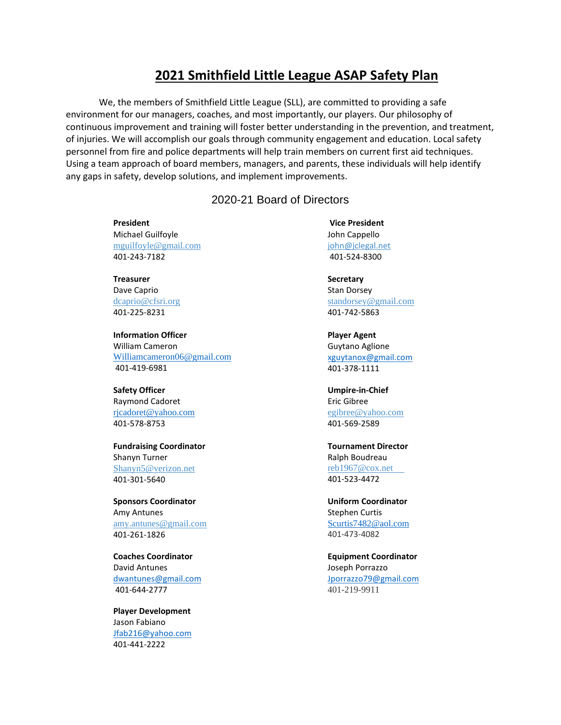## **2021 Smithfield Little League ASAP Safety Plan**

We, the members of Smithfield Little League (SLL), are committed to providing a safe environment for our managers, coaches, and most importantly, our players. Our philosophy of continuous improvement and training will foster better understanding in the prevention, and treatment, of injuries. We will accomplish our goals through community engagement and education. Local safety personnel from fire and police departments will help train members on current first aid techniques. Using a team approach of board members, managers, and parents, these individuals will help identify any gaps in safety, develop solutions, and implement improvements.

## 2020-21 Board of Directors

**President** Michael Guilfoyle [mguilfoyle@gmail.com](mailto:mguilfoyle@gmail.com) 401-243-7182

**Treasurer** Dave Caprio [dcaprio@cfsri.org](mailto:dcaprio@cfsri.org) 401-225-8231

**Information Officer** William Cameron [Williamcameron06@gmail.com](mailto:Williamcameron06@gmail.com) 401-419-6981

**Safety Officer** Raymond Cadoret [rjcadoret@yahoo.com](mailto:rjcadoret@yahoo.com) 401-578-8753

**Fundraising Coordinator** Shanyn Turner [Shanyn5@verizon.net](mailto:Shanyn5@verizon.net) 401-301-5640

**Sponsors Coordinator** Amy Antunes [amy.antunes@gmail.com](mailto:amy.antunes@gmail.com) 401-261-1826

**Coaches Coordinator**  David Antunes [dwantunes@gmail.com](mailto:dwantunes@gmail.com) 401-644-2777

**Player Development** Jason Fabiano [Jfab216@yahoo.com](mailto:Jfab216@yahoo.com) 401-441-2222

**Vice President** John Cappello [john@jclegal.net](mailto:john@jclegal.net) 401-524-8300

**Secretary** Stan Dorsey [standorsey@gmail.com](mailto:standorsey@gmail.com) 401-742-5863

**Player Agent** Guytano Aglione [xguytanox@gmail.com](mailto:xguytanox@gmail.com) 401-378-1111

**Umpire-in-Chief** Eric Gibree [egibree@yahoo.com](mailto:egibree@yahoo.com) 401-569-2589

**Tournament Director** Ralph Boudreau [reb1967@cox.net](mailto:reb1967@cox.net)  401-523-4472

**Uniform Coordinator** Stephen Curtis [Scurtis7482@aol.com](mailto:Scurtis7482@aol.com) 401-473-4082

**Equipment Coordinator** Joseph Porrazzo [Jporrazzo79@gmail.com](mailto:Jporrazzo79@gmail.com) 401-219-9911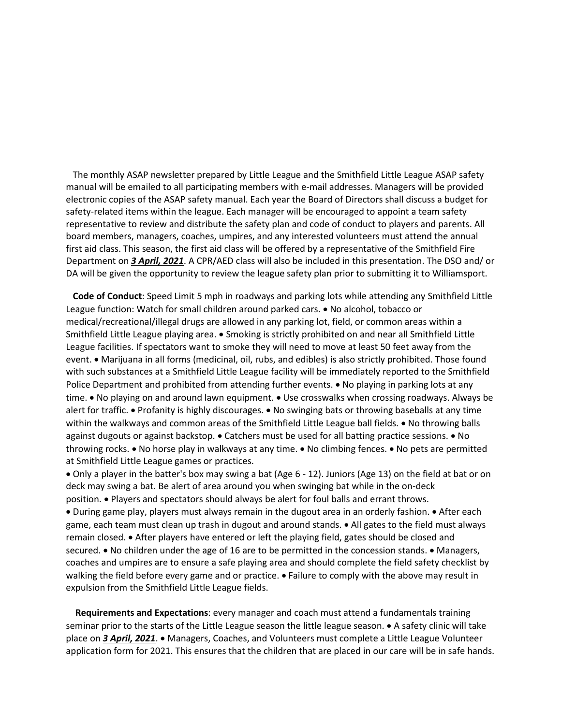The monthly ASAP newsletter prepared by Little League and the Smithfield Little League ASAP safety manual will be emailed to all participating members with e-mail addresses. Managers will be provided electronic copies of the ASAP safety manual. Each year the Board of Directors shall discuss a budget for safety-related items within the league. Each manager will be encouraged to appoint a team safety representative to review and distribute the safety plan and code of conduct to players and parents. All board members, managers, coaches, umpires, and any interested volunteers must attend the annual first aid class. This season, the first aid class will be offered by a representative of the Smithfield Fire Department on *3 April, 2021*. A CPR/AED class will also be included in this presentation. The DSO and/ or DA will be given the opportunity to review the league safety plan prior to submitting it to Williamsport.

 **Code of Conduct**: Speed Limit 5 mph in roadways and parking lots while attending any Smithfield Little League function: Watch for small children around parked cars. • No alcohol, tobacco or medical/recreational/illegal drugs are allowed in any parking lot, field, or common areas within a Smithfield Little League playing area. • Smoking is strictly prohibited on and near all Smithfield Little League facilities. If spectators want to smoke they will need to move at least 50 feet away from the event. • Marijuana in all forms (medicinal, oil, rubs, and edibles) is also strictly prohibited. Those found with such substances at a Smithfield Little League facility will be immediately reported to the Smithfield Police Department and prohibited from attending further events. • No playing in parking lots at any time. • No playing on and around lawn equipment. • Use crosswalks when crossing roadways. Always be alert for traffic. • Profanity is highly discourages. • No swinging bats or throwing baseballs at any time within the walkways and common areas of the Smithfield Little League ball fields. • No throwing balls against dugouts or against backstop. • Catchers must be used for all batting practice sessions. • No throwing rocks. • No horse play in walkways at any time. • No climbing fences. • No pets are permitted at Smithfield Little League games or practices.

• Only a player in the batter's box may swing a bat (Age 6 - 12). Juniors (Age 13) on the field at bat or on deck may swing a bat. Be alert of area around you when swinging bat while in the on-deck position. • Players and spectators should always be alert for foul balls and errant throws. • During game play, players must always remain in the dugout area in an orderly fashion. • After each game, each team must clean up trash in dugout and around stands. • All gates to the field must always remain closed. • After players have entered or left the playing field, gates should be closed and secured. • No children under the age of 16 are to be permitted in the concession stands. • Managers, coaches and umpires are to ensure a safe playing area and should complete the field safety checklist by walking the field before every game and or practice. • Failure to comply with the above may result in expulsion from the Smithfield Little League fields.

 **Requirements and Expectations**: every manager and coach must attend a fundamentals training seminar prior to the starts of the Little League season the little league season. • A safety clinic will take place on *3 April, 2021*. • Managers, Coaches, and Volunteers must complete a Little League Volunteer application form for 2021. This ensures that the children that are placed in our care will be in safe hands.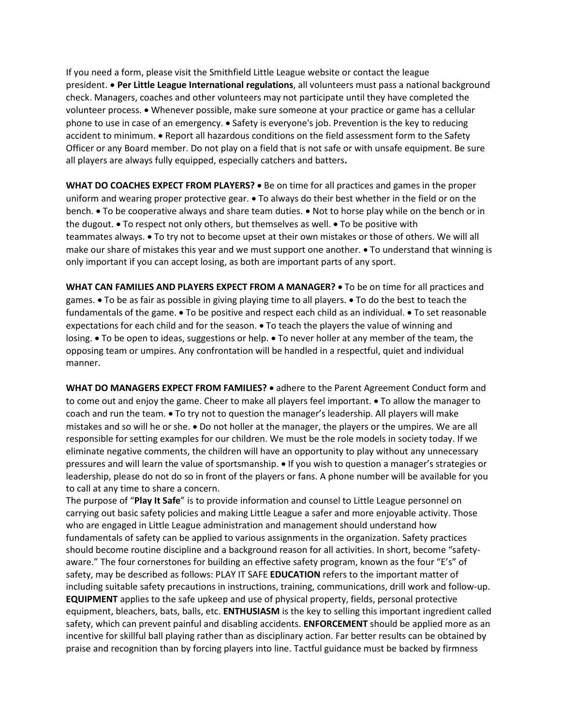If you need a form, please visit the Smithfield Little League website or contact the league president. • **Per Little League International regulations**, all volunteers must pass a national background check. Managers, coaches and other volunteers may not participate until they have completed the volunteer process. • Whenever possible, make sure someone at your practice or game has a cellular phone to use in case of an emergency. • Safety is everyone's job. Prevention is the key to reducing accident to minimum. • Report all hazardous conditions on the field assessment form to the Safety Officer or any Board member. Do not play on a field that is not safe or with unsafe equipment. Be sure all players are always fully equipped, especially catchers and batters**.** 

**WHAT DO COACHES EXPECT FROM PLAYERS?** • Be on time for all practices and games in the proper uniform and wearing proper protective gear. • To always do their best whether in the field or on the bench. • To be cooperative always and share team duties. • Not to horse play while on the bench or in the dugout. • To respect not only others, but themselves as well. • To be positive with teammates always. • To try not to become upset at their own mistakes or those of others. We will all make our share of mistakes this year and we must support one another. • To understand that winning is only important if you can accept losing, as both are important parts of any sport.

**WHAT CAN FAMILIES AND PLAYERS EXPECT FROM A MANAGER?** • To be on time for all practices and games. • To be as fair as possible in giving playing time to all players. • To do the best to teach the fundamentals of the game. • To be positive and respect each child as an individual. • To set reasonable expectations for each child and for the season. • To teach the players the value of winning and losing. • To be open to ideas, suggestions or help. • To never holler at any member of the team, the opposing team or umpires. Any confrontation will be handled in a respectful, quiet and individual manner.

**WHAT DO MANAGERS EXPECT FROM FAMILIES?** • adhere to the Parent Agreement Conduct form and to come out and enjoy the game. Cheer to make all players feel important. • To allow the manager to coach and run the team. • To try not to question the manager's leadership. All players will make mistakes and so will he or she. • Do not holler at the manager, the players or the umpires. We are all responsible for setting examples for our children. We must be the role models in society today. If we eliminate negative comments, the children will have an opportunity to play without any unnecessary pressures and will learn the value of sportsmanship. • If you wish to question a manager's strategies or leadership, please do not do so in front of the players or fans. A phone number will be available for you to call at any time to share a concern.

The purpose of "**Play It Safe**" is to provide information and counsel to Little League personnel on carrying out basic safety policies and making Little League a safer and more enjoyable activity. Those who are engaged in Little League administration and management should understand how fundamentals of safety can be applied to various assignments in the organization. Safety practices should become routine discipline and a background reason for all activities. In short, become "safetyaware." The four cornerstones for building an effective safety program, known as the four "E's" of safety, may be described as follows: PLAY IT SAFE **EDUCATION** refers to the important matter of including suitable safety precautions in instructions, training, communications, drill work and follow-up. **EQUIPMENT** applies to the safe upkeep and use of physical property, fields, personal protective equipment, bleachers, bats, balls, etc. **ENTHUSIASM** is the key to selling this important ingredient called safety, which can prevent painful and disabling accidents. **ENFORCEMENT** should be applied more as an incentive for skillful ball playing rather than as disciplinary action. Far better results can be obtained by praise and recognition than by forcing players into line. Tactful guidance must be backed by firmness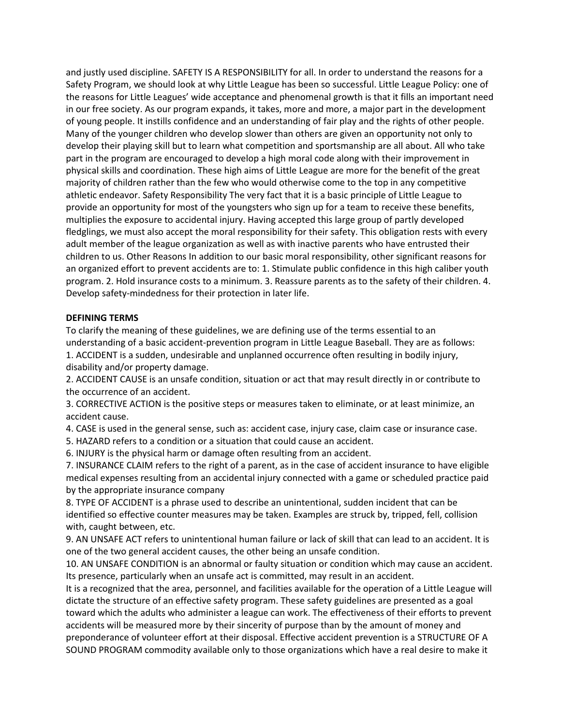and justly used discipline. SAFETY IS A RESPONSIBILITY for all. In order to understand the reasons for a Safety Program, we should look at why Little League has been so successful. Little League Policy: one of the reasons for Little Leagues' wide acceptance and phenomenal growth is that it fills an important need in our free society. As our program expands, it takes, more and more, a major part in the development of young people. It instills confidence and an understanding of fair play and the rights of other people. Many of the younger children who develop slower than others are given an opportunity not only to develop their playing skill but to learn what competition and sportsmanship are all about. All who take part in the program are encouraged to develop a high moral code along with their improvement in physical skills and coordination. These high aims of Little League are more for the benefit of the great majority of children rather than the few who would otherwise come to the top in any competitive athletic endeavor. Safety Responsibility The very fact that it is a basic principle of Little League to provide an opportunity for most of the youngsters who sign up for a team to receive these benefits, multiplies the exposure to accidental injury. Having accepted this large group of partly developed fledglings, we must also accept the moral responsibility for their safety. This obligation rests with every adult member of the league organization as well as with inactive parents who have entrusted their children to us. Other Reasons In addition to our basic moral responsibility, other significant reasons for an organized effort to prevent accidents are to: 1. Stimulate public confidence in this high caliber youth program. 2. Hold insurance costs to a minimum. 3. Reassure parents as to the safety of their children. 4. Develop safety-mindedness for their protection in later life.

### **DEFINING TERMS**

To clarify the meaning of these guidelines, we are defining use of the terms essential to an understanding of a basic accident-prevention program in Little League Baseball. They are as follows: 1. ACCIDENT is a sudden, undesirable and unplanned occurrence often resulting in bodily injury, disability and/or property damage.

2. ACCIDENT CAUSE is an unsafe condition, situation or act that may result directly in or contribute to the occurrence of an accident.

3. CORRECTIVE ACTION is the positive steps or measures taken to eliminate, or at least minimize, an accident cause.

4. CASE is used in the general sense, such as: accident case, injury case, claim case or insurance case.

5. HAZARD refers to a condition or a situation that could cause an accident.

6. INJURY is the physical harm or damage often resulting from an accident.

7. INSURANCE CLAIM refers to the right of a parent, as in the case of accident insurance to have eligible medical expenses resulting from an accidental injury connected with a game or scheduled practice paid by the appropriate insurance company

8. TYPE OF ACCIDENT is a phrase used to describe an unintentional, sudden incident that can be identified so effective counter measures may be taken. Examples are struck by, tripped, fell, collision with, caught between, etc.

9. AN UNSAFE ACT refers to unintentional human failure or lack of skill that can lead to an accident. It is one of the two general accident causes, the other being an unsafe condition.

10. AN UNSAFE CONDITION is an abnormal or faulty situation or condition which may cause an accident. Its presence, particularly when an unsafe act is committed, may result in an accident.

It is a recognized that the area, personnel, and facilities available for the operation of a Little League will dictate the structure of an effective safety program. These safety guidelines are presented as a goal toward which the adults who administer a league can work. The effectiveness of their efforts to prevent accidents will be measured more by their sincerity of purpose than by the amount of money and preponderance of volunteer effort at their disposal. Effective accident prevention is a STRUCTURE OF A SOUND PROGRAM commodity available only to those organizations which have a real desire to make it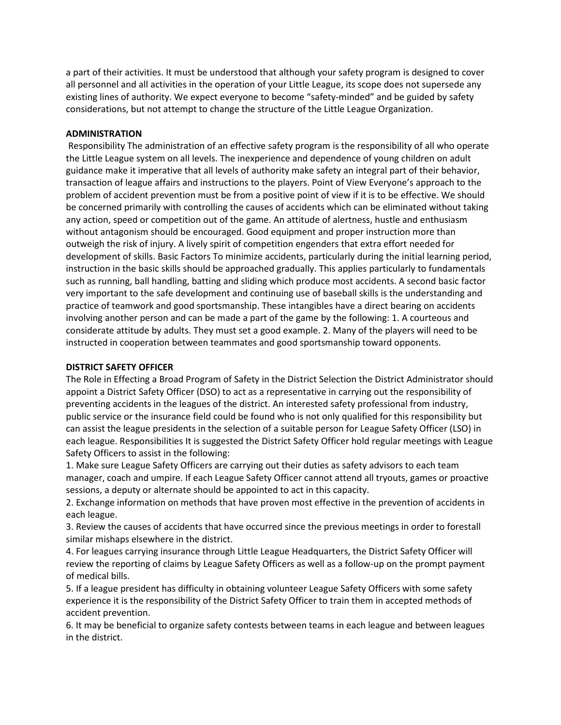a part of their activities. It must be understood that although your safety program is designed to cover all personnel and all activities in the operation of your Little League, its scope does not supersede any existing lines of authority. We expect everyone to become "safety-minded" and be guided by safety considerations, but not attempt to change the structure of the Little League Organization.

### **ADMINISTRATION**

Responsibility The administration of an effective safety program is the responsibility of all who operate the Little League system on all levels. The inexperience and dependence of young children on adult guidance make it imperative that all levels of authority make safety an integral part of their behavior, transaction of league affairs and instructions to the players. Point of View Everyone's approach to the problem of accident prevention must be from a positive point of view if it is to be effective. We should be concerned primarily with controlling the causes of accidents which can be eliminated without taking any action, speed or competition out of the game. An attitude of alertness, hustle and enthusiasm without antagonism should be encouraged. Good equipment and proper instruction more than outweigh the risk of injury. A lively spirit of competition engenders that extra effort needed for development of skills. Basic Factors To minimize accidents, particularly during the initial learning period, instruction in the basic skills should be approached gradually. This applies particularly to fundamentals such as running, ball handling, batting and sliding which produce most accidents. A second basic factor very important to the safe development and continuing use of baseball skills is the understanding and practice of teamwork and good sportsmanship. These intangibles have a direct bearing on accidents involving another person and can be made a part of the game by the following: 1. A courteous and considerate attitude by adults. They must set a good example. 2. Many of the players will need to be instructed in cooperation between teammates and good sportsmanship toward opponents.

### **DISTRICT SAFETY OFFICER**

The Role in Effecting a Broad Program of Safety in the District Selection the District Administrator should appoint a District Safety Officer (DSO) to act as a representative in carrying out the responsibility of preventing accidents in the leagues of the district. An interested safety professional from industry, public service or the insurance field could be found who is not only qualified for this responsibility but can assist the league presidents in the selection of a suitable person for League Safety Officer (LSO) in each league. Responsibilities It is suggested the District Safety Officer hold regular meetings with League Safety Officers to assist in the following:

1. Make sure League Safety Officers are carrying out their duties as safety advisors to each team manager, coach and umpire. If each League Safety Officer cannot attend all tryouts, games or proactive sessions, a deputy or alternate should be appointed to act in this capacity.

2. Exchange information on methods that have proven most effective in the prevention of accidents in each league.

3. Review the causes of accidents that have occurred since the previous meetings in order to forestall similar mishaps elsewhere in the district.

4. For leagues carrying insurance through Little League Headquarters, the District Safety Officer will review the reporting of claims by League Safety Officers as well as a follow-up on the prompt payment of medical bills.

5. If a league president has difficulty in obtaining volunteer League Safety Officers with some safety experience it is the responsibility of the District Safety Officer to train them in accepted methods of accident prevention.

6. It may be beneficial to organize safety contests between teams in each league and between leagues in the district.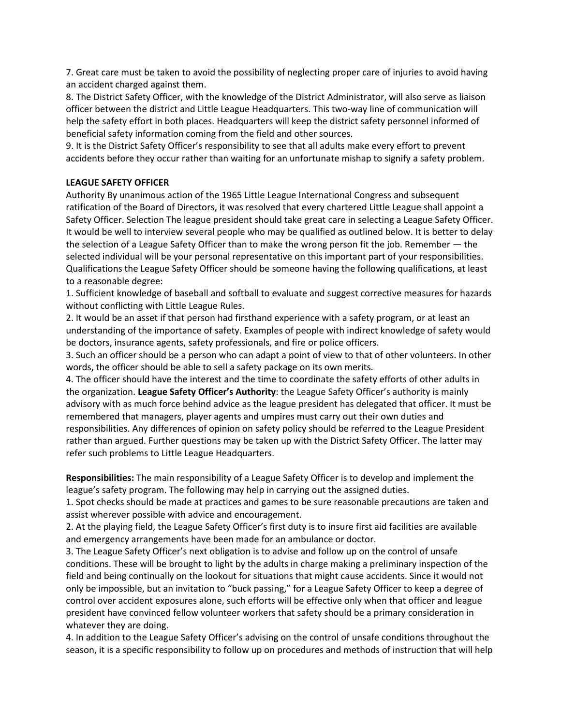7. Great care must be taken to avoid the possibility of neglecting proper care of injuries to avoid having an accident charged against them.

8. The District Safety Officer, with the knowledge of the District Administrator, will also serve as liaison officer between the district and Little League Headquarters. This two-way line of communication will help the safety effort in both places. Headquarters will keep the district safety personnel informed of beneficial safety information coming from the field and other sources.

9. It is the District Safety Officer's responsibility to see that all adults make every effort to prevent accidents before they occur rather than waiting for an unfortunate mishap to signify a safety problem.

## **LEAGUE SAFETY OFFICER**

Authority By unanimous action of the 1965 Little League International Congress and subsequent ratification of the Board of Directors, it was resolved that every chartered Little League shall appoint a Safety Officer. Selection The league president should take great care in selecting a League Safety Officer. It would be well to interview several people who may be qualified as outlined below. It is better to delay the selection of a League Safety Officer than to make the wrong person fit the job. Remember — the selected individual will be your personal representative on this important part of your responsibilities. Qualifications the League Safety Officer should be someone having the following qualifications, at least to a reasonable degree:

1. Sufficient knowledge of baseball and softball to evaluate and suggest corrective measures for hazards without conflicting with Little League Rules.

2. It would be an asset if that person had firsthand experience with a safety program, or at least an understanding of the importance of safety. Examples of people with indirect knowledge of safety would be doctors, insurance agents, safety professionals, and fire or police officers.

3. Such an officer should be a person who can adapt a point of view to that of other volunteers. In other words, the officer should be able to sell a safety package on its own merits.

4. The officer should have the interest and the time to coordinate the safety efforts of other adults in the organization. **League Safety Officer's Authority**: the League Safety Officer's authority is mainly advisory with as much force behind advice as the league president has delegated that officer. It must be remembered that managers, player agents and umpires must carry out their own duties and responsibilities. Any differences of opinion on safety policy should be referred to the League President rather than argued. Further questions may be taken up with the District Safety Officer. The latter may refer such problems to Little League Headquarters.

**Responsibilities:** The main responsibility of a League Safety Officer is to develop and implement the league's safety program. The following may help in carrying out the assigned duties.

1. Spot checks should be made at practices and games to be sure reasonable precautions are taken and assist wherever possible with advice and encouragement.

2. At the playing field, the League Safety Officer's first duty is to insure first aid facilities are available and emergency arrangements have been made for an ambulance or doctor.

3. The League Safety Officer's next obligation is to advise and follow up on the control of unsafe conditions. These will be brought to light by the adults in charge making a preliminary inspection of the field and being continually on the lookout for situations that might cause accidents. Since it would not only be impossible, but an invitation to "buck passing," for a League Safety Officer to keep a degree of control over accident exposures alone, such efforts will be effective only when that officer and league president have convinced fellow volunteer workers that safety should be a primary consideration in whatever they are doing.

4. In addition to the League Safety Officer's advising on the control of unsafe conditions throughout the season, it is a specific responsibility to follow up on procedures and methods of instruction that will help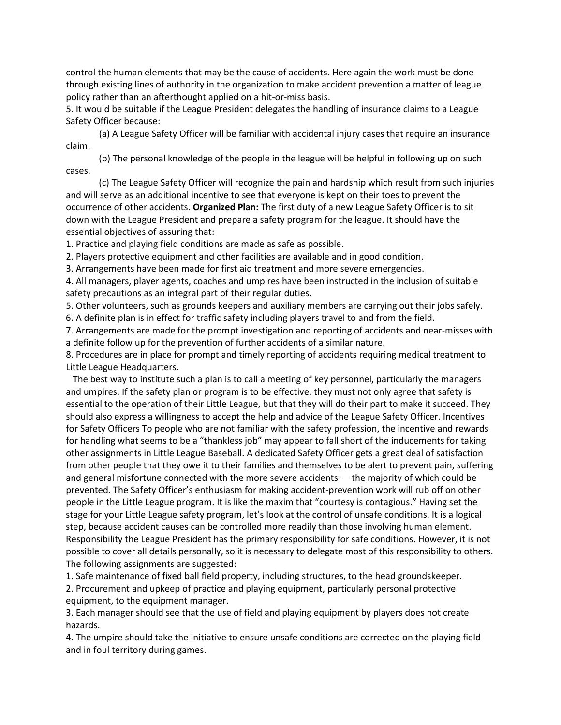control the human elements that may be the cause of accidents. Here again the work must be done through existing lines of authority in the organization to make accident prevention a matter of league policy rather than an afterthought applied on a hit-or-miss basis.

5. It would be suitable if the League President delegates the handling of insurance claims to a League Safety Officer because:

(a) A League Safety Officer will be familiar with accidental injury cases that require an insurance claim.

(b) The personal knowledge of the people in the league will be helpful in following up on such cases.

(c) The League Safety Officer will recognize the pain and hardship which result from such injuries and will serve as an additional incentive to see that everyone is kept on their toes to prevent the occurrence of other accidents. **Organized Plan:** The first duty of a new League Safety Officer is to sit down with the League President and prepare a safety program for the league. It should have the essential objectives of assuring that:

1. Practice and playing field conditions are made as safe as possible.

2. Players protective equipment and other facilities are available and in good condition.

3. Arrangements have been made for first aid treatment and more severe emergencies.

4. All managers, player agents, coaches and umpires have been instructed in the inclusion of suitable safety precautions as an integral part of their regular duties.

5. Other volunteers, such as grounds keepers and auxiliary members are carrying out their jobs safely.

6. A definite plan is in effect for traffic safety including players travel to and from the field.

7. Arrangements are made for the prompt investigation and reporting of accidents and near-misses with a definite follow up for the prevention of further accidents of a similar nature.

8. Procedures are in place for prompt and timely reporting of accidents requiring medical treatment to Little League Headquarters.

 The best way to institute such a plan is to call a meeting of key personnel, particularly the managers and umpires. If the safety plan or program is to be effective, they must not only agree that safety is essential to the operation of their Little League, but that they will do their part to make it succeed. They should also express a willingness to accept the help and advice of the League Safety Officer. Incentives for Safety Officers To people who are not familiar with the safety profession, the incentive and rewards for handling what seems to be a "thankless job" may appear to fall short of the inducements for taking other assignments in Little League Baseball. A dedicated Safety Officer gets a great deal of satisfaction from other people that they owe it to their families and themselves to be alert to prevent pain, suffering and general misfortune connected with the more severe accidents — the majority of which could be prevented. The Safety Officer's enthusiasm for making accident-prevention work will rub off on other people in the Little League program. It is like the maxim that "courtesy is contagious." Having set the stage for your Little League safety program, let's look at the control of unsafe conditions. It is a logical step, because accident causes can be controlled more readily than those involving human element. Responsibility the League President has the primary responsibility for safe conditions. However, it is not possible to cover all details personally, so it is necessary to delegate most of this responsibility to others. The following assignments are suggested:

1. Safe maintenance of fixed ball field property, including structures, to the head groundskeeper.

2. Procurement and upkeep of practice and playing equipment, particularly personal protective equipment, to the equipment manager.

3. Each manager should see that the use of field and playing equipment by players does not create hazards.

4. The umpire should take the initiative to ensure unsafe conditions are corrected on the playing field and in foul territory during games.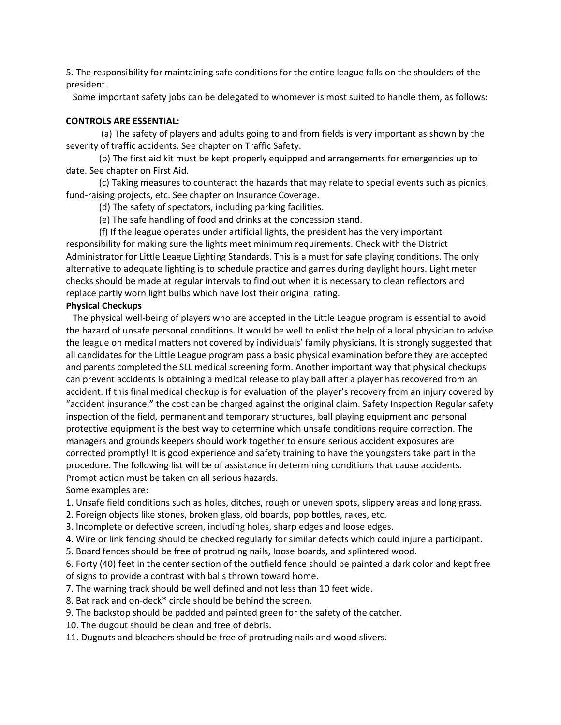5. The responsibility for maintaining safe conditions for the entire league falls on the shoulders of the president.

Some important safety jobs can be delegated to whomever is most suited to handle them, as follows:

### **CONTROLS ARE ESSENTIAL:**

(a) The safety of players and adults going to and from fields is very important as shown by the severity of traffic accidents. See chapter on Traffic Safety.

(b) The first aid kit must be kept properly equipped and arrangements for emergencies up to date. See chapter on First Aid.

(c) Taking measures to counteract the hazards that may relate to special events such as picnics, fund-raising projects, etc. See chapter on Insurance Coverage.

(d) The safety of spectators, including parking facilities.

(e) The safe handling of food and drinks at the concession stand.

(f) If the league operates under artificial lights, the president has the very important responsibility for making sure the lights meet minimum requirements. Check with the District Administrator for Little League Lighting Standards. This is a must for safe playing conditions. The only alternative to adequate lighting is to schedule practice and games during daylight hours. Light meter checks should be made at regular intervals to find out when it is necessary to clean reflectors and replace partly worn light bulbs which have lost their original rating.

### **Physical Checkups**

 The physical well-being of players who are accepted in the Little League program is essential to avoid the hazard of unsafe personal conditions. It would be well to enlist the help of a local physician to advise the league on medical matters not covered by individuals' family physicians. It is strongly suggested that all candidates for the Little League program pass a basic physical examination before they are accepted and parents completed the SLL medical screening form. Another important way that physical checkups can prevent accidents is obtaining a medical release to play ball after a player has recovered from an accident. If this final medical checkup is for evaluation of the player's recovery from an injury covered by "accident insurance," the cost can be charged against the original claim. Safety Inspection Regular safety inspection of the field, permanent and temporary structures, ball playing equipment and personal protective equipment is the best way to determine which unsafe conditions require correction. The managers and grounds keepers should work together to ensure serious accident exposures are corrected promptly! It is good experience and safety training to have the youngsters take part in the procedure. The following list will be of assistance in determining conditions that cause accidents. Prompt action must be taken on all serious hazards.

Some examples are:

1. Unsafe field conditions such as holes, ditches, rough or uneven spots, slippery areas and long grass.

2. Foreign objects like stones, broken glass, old boards, pop bottles, rakes, etc.

3. Incomplete or defective screen, including holes, sharp edges and loose edges.

4. Wire or link fencing should be checked regularly for similar defects which could injure a participant.

5. Board fences should be free of protruding nails, loose boards, and splintered wood.

6. Forty (40) feet in the center section of the outfield fence should be painted a dark color and kept free of signs to provide a contrast with balls thrown toward home.

- 7. The warning track should be well defined and not less than 10 feet wide.
- 8. Bat rack and on-deck\* circle should be behind the screen.
- 9. The backstop should be padded and painted green for the safety of the catcher.
- 10. The dugout should be clean and free of debris.
- 11. Dugouts and bleachers should be free of protruding nails and wood slivers.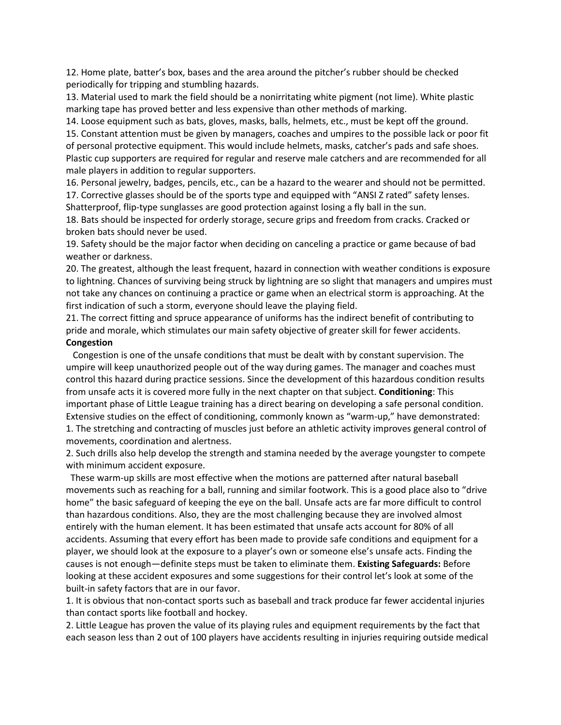12. Home plate, batter's box, bases and the area around the pitcher's rubber should be checked periodically for tripping and stumbling hazards.

13. Material used to mark the field should be a nonirritating white pigment (not lime). White plastic marking tape has proved better and less expensive than other methods of marking.

14. Loose equipment such as bats, gloves, masks, balls, helmets, etc., must be kept off the ground. 15. Constant attention must be given by managers, coaches and umpires to the possible lack or poor fit of personal protective equipment. This would include helmets, masks, catcher's pads and safe shoes. Plastic cup supporters are required for regular and reserve male catchers and are recommended for all male players in addition to regular supporters.

16. Personal jewelry, badges, pencils, etc., can be a hazard to the wearer and should not be permitted. 17. Corrective glasses should be of the sports type and equipped with "ANSI Z rated" safety lenses. Shatterproof, flip-type sunglasses are good protection against losing a fly ball in the sun.

18. Bats should be inspected for orderly storage, secure grips and freedom from cracks. Cracked or broken bats should never be used.

19. Safety should be the major factor when deciding on canceling a practice or game because of bad weather or darkness.

20. The greatest, although the least frequent, hazard in connection with weather conditions is exposure to lightning. Chances of surviving being struck by lightning are so slight that managers and umpires must not take any chances on continuing a practice or game when an electrical storm is approaching. At the first indication of such a storm, everyone should leave the playing field.

21. The correct fitting and spruce appearance of uniforms has the indirect benefit of contributing to pride and morale, which stimulates our main safety objective of greater skill for fewer accidents. **Congestion**

 Congestion is one of the unsafe conditions that must be dealt with by constant supervision. The umpire will keep unauthorized people out of the way during games. The manager and coaches must control this hazard during practice sessions. Since the development of this hazardous condition results from unsafe acts it is covered more fully in the next chapter on that subject. **Conditioning**: This important phase of Little League training has a direct bearing on developing a safe personal condition. Extensive studies on the effect of conditioning, commonly known as "warm-up," have demonstrated: 1. The stretching and contracting of muscles just before an athletic activity improves general control of movements, coordination and alertness.

2. Such drills also help develop the strength and stamina needed by the average youngster to compete with minimum accident exposure.

 These warm-up skills are most effective when the motions are patterned after natural baseball movements such as reaching for a ball, running and similar footwork. This is a good place also to "drive home" the basic safeguard of keeping the eye on the ball. Unsafe acts are far more difficult to control than hazardous conditions. Also, they are the most challenging because they are involved almost entirely with the human element. It has been estimated that unsafe acts account for 80% of all accidents. Assuming that every effort has been made to provide safe conditions and equipment for a player, we should look at the exposure to a player's own or someone else's unsafe acts. Finding the causes is not enough—definite steps must be taken to eliminate them. **Existing Safeguards:** Before looking at these accident exposures and some suggestions for their control let's look at some of the built-in safety factors that are in our favor.

1. It is obvious that non-contact sports such as baseball and track produce far fewer accidental injuries than contact sports like football and hockey.

2. Little League has proven the value of its playing rules and equipment requirements by the fact that each season less than 2 out of 100 players have accidents resulting in injuries requiring outside medical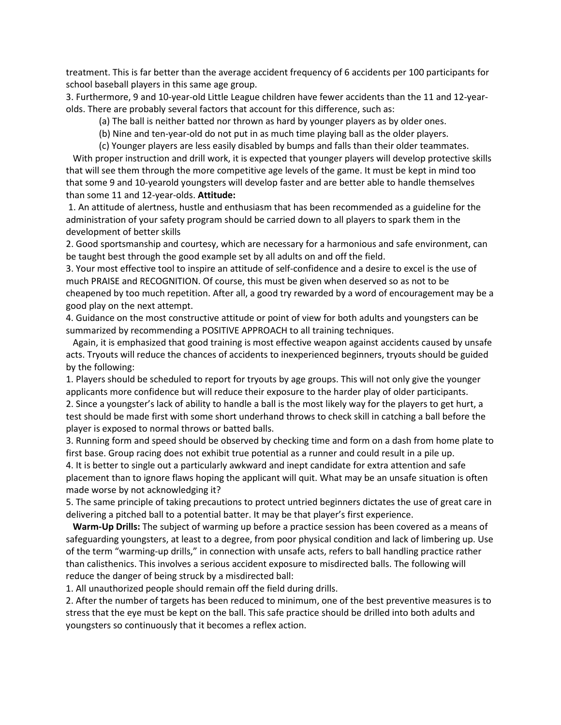treatment. This is far better than the average accident frequency of 6 accidents per 100 participants for school baseball players in this same age group.

3. Furthermore, 9 and 10-year-old Little League children have fewer accidents than the 11 and 12-yearolds. There are probably several factors that account for this difference, such as:

(a) The ball is neither batted nor thrown as hard by younger players as by older ones.

(b) Nine and ten-year-old do not put in as much time playing ball as the older players.

(c) Younger players are less easily disabled by bumps and falls than their older teammates.

 With proper instruction and drill work, it is expected that younger players will develop protective skills that will see them through the more competitive age levels of the game. It must be kept in mind too that some 9 and 10-yearold youngsters will develop faster and are better able to handle themselves than some 11 and 12-year-olds. **Attitude:**

1. An attitude of alertness, hustle and enthusiasm that has been recommended as a guideline for the administration of your safety program should be carried down to all players to spark them in the development of better skills

2. Good sportsmanship and courtesy, which are necessary for a harmonious and safe environment, can be taught best through the good example set by all adults on and off the field.

3. Your most effective tool to inspire an attitude of self-confidence and a desire to excel is the use of much PRAISE and RECOGNITION. Of course, this must be given when deserved so as not to be cheapened by too much repetition. After all, a good try rewarded by a word of encouragement may be a good play on the next attempt.

4. Guidance on the most constructive attitude or point of view for both adults and youngsters can be summarized by recommending a POSITIVE APPROACH to all training techniques.

 Again, it is emphasized that good training is most effective weapon against accidents caused by unsafe acts. Tryouts will reduce the chances of accidents to inexperienced beginners, tryouts should be guided by the following:

1. Players should be scheduled to report for tryouts by age groups. This will not only give the younger applicants more confidence but will reduce their exposure to the harder play of older participants. 2. Since a youngster's lack of ability to handle a ball is the most likely way for the players to get hurt, a test should be made first with some short underhand throws to check skill in catching a ball before the player is exposed to normal throws or batted balls.

3. Running form and speed should be observed by checking time and form on a dash from home plate to first base. Group racing does not exhibit true potential as a runner and could result in a pile up.

4. It is better to single out a particularly awkward and inept candidate for extra attention and safe placement than to ignore flaws hoping the applicant will quit. What may be an unsafe situation is often made worse by not acknowledging it?

5. The same principle of taking precautions to protect untried beginners dictates the use of great care in delivering a pitched ball to a potential batter. It may be that player's first experience.

 **Warm-Up Drills:** The subject of warming up before a practice session has been covered as a means of safeguarding youngsters, at least to a degree, from poor physical condition and lack of limbering up. Use of the term "warming-up drills," in connection with unsafe acts, refers to ball handling practice rather than calisthenics. This involves a serious accident exposure to misdirected balls. The following will reduce the danger of being struck by a misdirected ball:

1. All unauthorized people should remain off the field during drills.

2. After the number of targets has been reduced to minimum, one of the best preventive measures is to stress that the eye must be kept on the ball. This safe practice should be drilled into both adults and youngsters so continuously that it becomes a reflex action.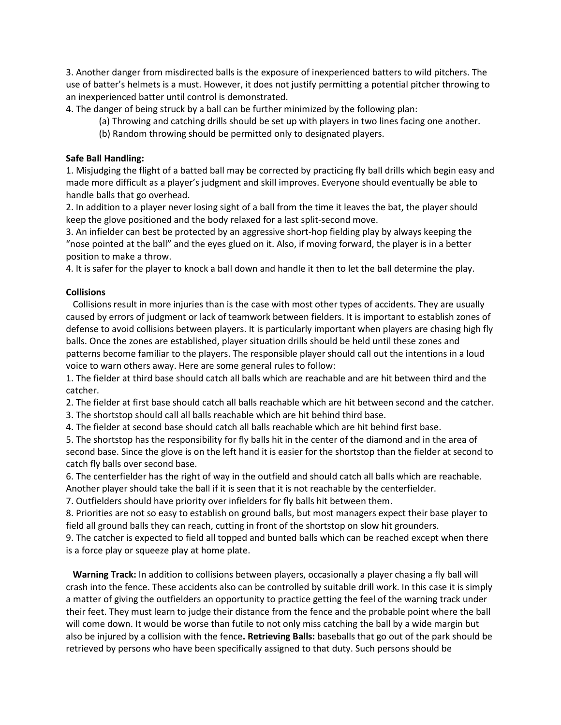3. Another danger from misdirected balls is the exposure of inexperienced batters to wild pitchers. The use of batter's helmets is a must. However, it does not justify permitting a potential pitcher throwing to an inexperienced batter until control is demonstrated.

4. The danger of being struck by a ball can be further minimized by the following plan:

- (a) Throwing and catching drills should be set up with players in two lines facing one another.
- (b) Random throwing should be permitted only to designated players.

### **Safe Ball Handling:**

1. Misjudging the flight of a batted ball may be corrected by practicing fly ball drills which begin easy and made more difficult as a player's judgment and skill improves. Everyone should eventually be able to handle balls that go overhead.

2. In addition to a player never losing sight of a ball from the time it leaves the bat, the player should keep the glove positioned and the body relaxed for a last split-second move.

3. An infielder can best be protected by an aggressive short-hop fielding play by always keeping the "nose pointed at the ball" and the eyes glued on it. Also, if moving forward, the player is in a better position to make a throw.

4. It is safer for the player to knock a ball down and handle it then to let the ball determine the play.

## **Collisions**

 Collisions result in more injuries than is the case with most other types of accidents. They are usually caused by errors of judgment or lack of teamwork between fielders. It is important to establish zones of defense to avoid collisions between players. It is particularly important when players are chasing high fly balls. Once the zones are established, player situation drills should be held until these zones and patterns become familiar to the players. The responsible player should call out the intentions in a loud voice to warn others away. Here are some general rules to follow:

1. The fielder at third base should catch all balls which are reachable and are hit between third and the catcher.

2. The fielder at first base should catch all balls reachable which are hit between second and the catcher.

3. The shortstop should call all balls reachable which are hit behind third base.

4. The fielder at second base should catch all balls reachable which are hit behind first base.

5. The shortstop has the responsibility for fly balls hit in the center of the diamond and in the area of second base. Since the glove is on the left hand it is easier for the shortstop than the fielder at second to catch fly balls over second base.

6. The centerfielder has the right of way in the outfield and should catch all balls which are reachable. Another player should take the ball if it is seen that it is not reachable by the centerfielder.

7. Outfielders should have priority over infielders for fly balls hit between them.

8. Priorities are not so easy to establish on ground balls, but most managers expect their base player to field all ground balls they can reach, cutting in front of the shortstop on slow hit grounders.

9. The catcher is expected to field all topped and bunted balls which can be reached except when there is a force play or squeeze play at home plate.

 **Warning Track:** In addition to collisions between players, occasionally a player chasing a fly ball will crash into the fence. These accidents also can be controlled by suitable drill work. In this case it is simply a matter of giving the outfielders an opportunity to practice getting the feel of the warning track under their feet. They must learn to judge their distance from the fence and the probable point where the ball will come down. It would be worse than futile to not only miss catching the ball by a wide margin but also be injured by a collision with the fence**. Retrieving Balls:** baseballs that go out of the park should be retrieved by persons who have been specifically assigned to that duty. Such persons should be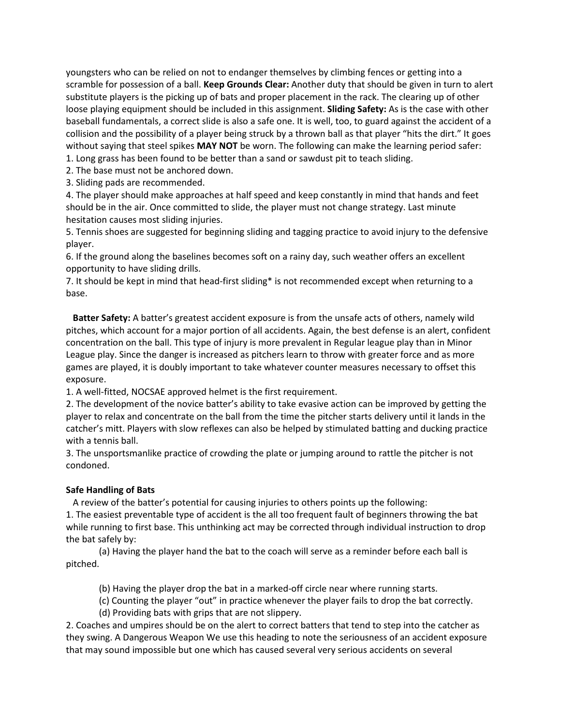youngsters who can be relied on not to endanger themselves by climbing fences or getting into a scramble for possession of a ball. **Keep Grounds Clear:** Another duty that should be given in turn to alert substitute players is the picking up of bats and proper placement in the rack. The clearing up of other loose playing equipment should be included in this assignment. **Sliding Safety:** As is the case with other baseball fundamentals, a correct slide is also a safe one. It is well, too, to guard against the accident of a collision and the possibility of a player being struck by a thrown ball as that player "hits the dirt." It goes without saying that steel spikes **MAY NOT** be worn. The following can make the learning period safer:

1. Long grass has been found to be better than a sand or sawdust pit to teach sliding.

2. The base must not be anchored down.

3. Sliding pads are recommended.

4. The player should make approaches at half speed and keep constantly in mind that hands and feet should be in the air. Once committed to slide, the player must not change strategy. Last minute hesitation causes most sliding injuries.

5. Tennis shoes are suggested for beginning sliding and tagging practice to avoid injury to the defensive player.

6. If the ground along the baselines becomes soft on a rainy day, such weather offers an excellent opportunity to have sliding drills.

7. It should be kept in mind that head-first sliding\* is not recommended except when returning to a base.

 **Batter Safety:** A batter's greatest accident exposure is from the unsafe acts of others, namely wild pitches, which account for a major portion of all accidents. Again, the best defense is an alert, confident concentration on the ball. This type of injury is more prevalent in Regular league play than in Minor League play. Since the danger is increased as pitchers learn to throw with greater force and as more games are played, it is doubly important to take whatever counter measures necessary to offset this exposure.

1. A well-fitted, NOCSAE approved helmet is the first requirement.

2. The development of the novice batter's ability to take evasive action can be improved by getting the player to relax and concentrate on the ball from the time the pitcher starts delivery until it lands in the catcher's mitt. Players with slow reflexes can also be helped by stimulated batting and ducking practice with a tennis ball.

3. The unsportsmanlike practice of crowding the plate or jumping around to rattle the pitcher is not condoned.

## **Safe Handling of Bats**

A review of the batter's potential for causing injuries to others points up the following:

1. The easiest preventable type of accident is the all too frequent fault of beginners throwing the bat while running to first base. This unthinking act may be corrected through individual instruction to drop the bat safely by:

(a) Having the player hand the bat to the coach will serve as a reminder before each ball is pitched.

(b) Having the player drop the bat in a marked-off circle near where running starts.

(c) Counting the player "out" in practice whenever the player fails to drop the bat correctly.

(d) Providing bats with grips that are not slippery.

2. Coaches and umpires should be on the alert to correct batters that tend to step into the catcher as they swing. A Dangerous Weapon We use this heading to note the seriousness of an accident exposure that may sound impossible but one which has caused several very serious accidents on several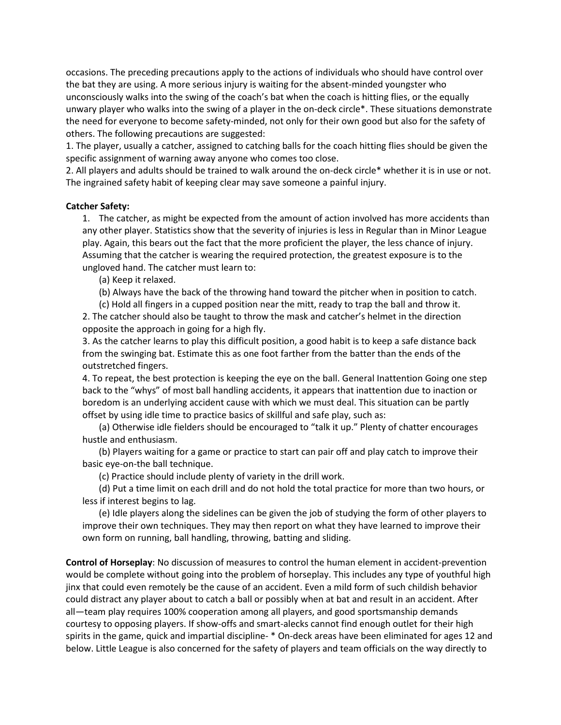occasions. The preceding precautions apply to the actions of individuals who should have control over the bat they are using. A more serious injury is waiting for the absent-minded youngster who unconsciously walks into the swing of the coach's bat when the coach is hitting flies, or the equally unwary player who walks into the swing of a player in the on-deck circle\*. These situations demonstrate the need for everyone to become safety-minded, not only for their own good but also for the safety of others. The following precautions are suggested:

1. The player, usually a catcher, assigned to catching balls for the coach hitting flies should be given the specific assignment of warning away anyone who comes too close.

2. All players and adults should be trained to walk around the on-deck circle\* whether it is in use or not. The ingrained safety habit of keeping clear may save someone a painful injury.

### **Catcher Safety:**

1. The catcher, as might be expected from the amount of action involved has more accidents than any other player. Statistics show that the severity of injuries is less in Regular than in Minor League play. Again, this bears out the fact that the more proficient the player, the less chance of injury. Assuming that the catcher is wearing the required protection, the greatest exposure is to the ungloved hand. The catcher must learn to:

(a) Keep it relaxed.

(b) Always have the back of the throwing hand toward the pitcher when in position to catch.

(c) Hold all fingers in a cupped position near the mitt, ready to trap the ball and throw it. 2. The catcher should also be taught to throw the mask and catcher's helmet in the direction opposite the approach in going for a high fly.

3. As the catcher learns to play this difficult position, a good habit is to keep a safe distance back from the swinging bat. Estimate this as one foot farther from the batter than the ends of the outstretched fingers.

4. To repeat, the best protection is keeping the eye on the ball. General Inattention Going one step back to the "whys" of most ball handling accidents, it appears that inattention due to inaction or boredom is an underlying accident cause with which we must deal. This situation can be partly offset by using idle time to practice basics of skillful and safe play, such as:

(a) Otherwise idle fielders should be encouraged to "talk it up." Plenty of chatter encourages hustle and enthusiasm.

(b) Players waiting for a game or practice to start can pair off and play catch to improve their basic eye-on-the ball technique.

(c) Practice should include plenty of variety in the drill work.

(d) Put a time limit on each drill and do not hold the total practice for more than two hours, or less if interest begins to lag.

(e) Idle players along the sidelines can be given the job of studying the form of other players to improve their own techniques. They may then report on what they have learned to improve their own form on running, ball handling, throwing, batting and sliding.

**Control of Horseplay**: No discussion of measures to control the human element in accident-prevention would be complete without going into the problem of horseplay. This includes any type of youthful high jinx that could even remotely be the cause of an accident. Even a mild form of such childish behavior could distract any player about to catch a ball or possibly when at bat and result in an accident. After all—team play requires 100% cooperation among all players, and good sportsmanship demands courtesy to opposing players. If show-offs and smart-alecks cannot find enough outlet for their high spirits in the game, quick and impartial discipline- \* On-deck areas have been eliminated for ages 12 and below. Little League is also concerned for the safety of players and team officials on the way directly to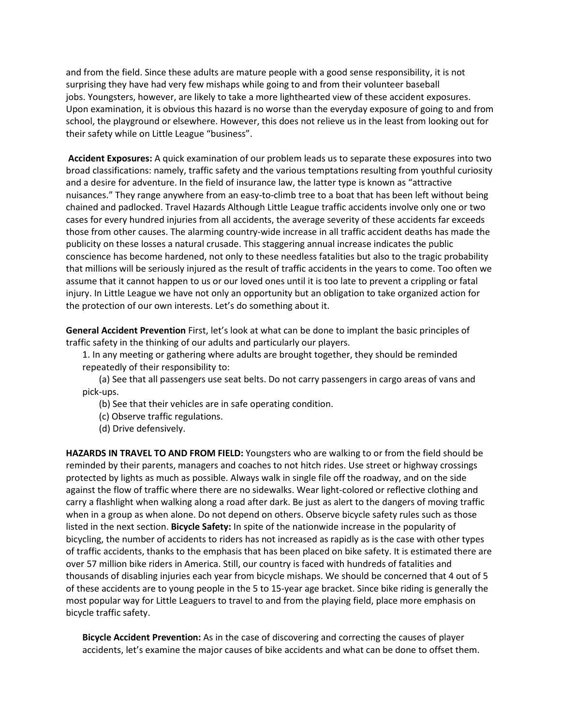and from the field. Since these adults are mature people with a good sense responsibility, it is not surprising they have had very few mishaps while going to and from their volunteer baseball jobs. Youngsters, however, are likely to take a more lighthearted view of these accident exposures. Upon examination, it is obvious this hazard is no worse than the everyday exposure of going to and from school, the playground or elsewhere. However, this does not relieve us in the least from looking out for their safety while on Little League "business".

**Accident Exposures:** A quick examination of our problem leads us to separate these exposures into two broad classifications: namely, traffic safety and the various temptations resulting from youthful curiosity and a desire for adventure. In the field of insurance law, the latter type is known as "attractive nuisances." They range anywhere from an easy-to-climb tree to a boat that has been left without being chained and padlocked. Travel Hazards Although Little League traffic accidents involve only one or two cases for every hundred injuries from all accidents, the average severity of these accidents far exceeds those from other causes. The alarming country-wide increase in all traffic accident deaths has made the publicity on these losses a natural crusade. This staggering annual increase indicates the public conscience has become hardened, not only to these needless fatalities but also to the tragic probability that millions will be seriously injured as the result of traffic accidents in the years to come. Too often we assume that it cannot happen to us or our loved ones until it is too late to prevent a crippling or fatal injury. In Little League we have not only an opportunity but an obligation to take organized action for the protection of our own interests. Let's do something about it.

**General Accident Prevention** First, let's look at what can be done to implant the basic principles of traffic safety in the thinking of our adults and particularly our players.

1. In any meeting or gathering where adults are brought together, they should be reminded repeatedly of their responsibility to:

(a) See that all passengers use seat belts. Do not carry passengers in cargo areas of vans and pick-ups.

(b) See that their vehicles are in safe operating condition.

(c) Observe traffic regulations.

(d) Drive defensively.

**HAZARDS IN TRAVEL TO AND FROM FIELD:** Youngsters who are walking to or from the field should be reminded by their parents, managers and coaches to not hitch rides. Use street or highway crossings protected by lights as much as possible. Always walk in single file off the roadway, and on the side against the flow of traffic where there are no sidewalks. Wear light-colored or reflective clothing and carry a flashlight when walking along a road after dark. Be just as alert to the dangers of moving traffic when in a group as when alone. Do not depend on others. Observe bicycle safety rules such as those listed in the next section. **Bicycle Safety:** In spite of the nationwide increase in the popularity of bicycling, the number of accidents to riders has not increased as rapidly as is the case with other types of traffic accidents, thanks to the emphasis that has been placed on bike safety. It is estimated there are over 57 million bike riders in America. Still, our country is faced with hundreds of fatalities and thousands of disabling injuries each year from bicycle mishaps. We should be concerned that 4 out of 5 of these accidents are to young people in the 5 to 15-year age bracket. Since bike riding is generally the most popular way for Little Leaguers to travel to and from the playing field, place more emphasis on bicycle traffic safety.

**Bicycle Accident Prevention:** As in the case of discovering and correcting the causes of player accidents, let's examine the major causes of bike accidents and what can be done to offset them.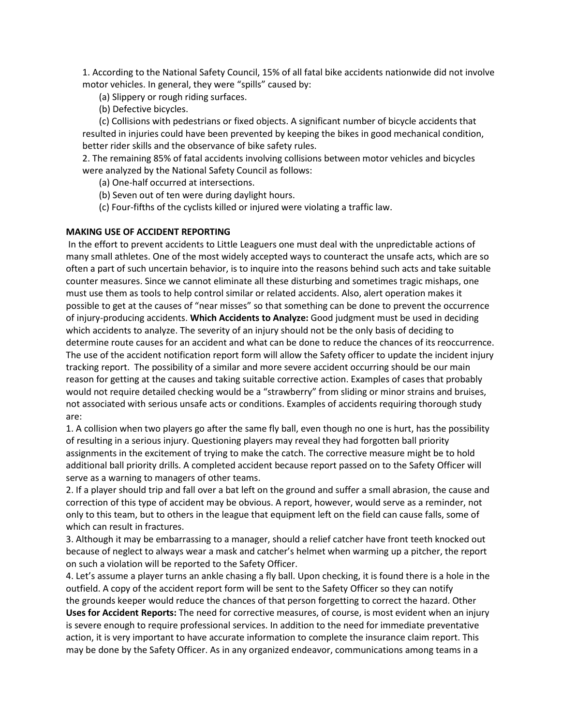1. According to the National Safety Council, 15% of all fatal bike accidents nationwide did not involve motor vehicles. In general, they were "spills" caused by:

- (a) Slippery or rough riding surfaces.
- (b) Defective bicycles.

(c) Collisions with pedestrians or fixed objects. A significant number of bicycle accidents that resulted in injuries could have been prevented by keeping the bikes in good mechanical condition, better rider skills and the observance of bike safety rules.

2. The remaining 85% of fatal accidents involving collisions between motor vehicles and bicycles were analyzed by the National Safety Council as follows:

(a) One-half occurred at intersections.

- (b) Seven out of ten were during daylight hours.
- (c) Four-fifths of the cyclists killed or injured were violating a traffic law.

## **MAKING USE OF ACCIDENT REPORTING**

In the effort to prevent accidents to Little Leaguers one must deal with the unpredictable actions of many small athletes. One of the most widely accepted ways to counteract the unsafe acts, which are so often a part of such uncertain behavior, is to inquire into the reasons behind such acts and take suitable counter measures. Since we cannot eliminate all these disturbing and sometimes tragic mishaps, one must use them as tools to help control similar or related accidents. Also, alert operation makes it possible to get at the causes of "near misses" so that something can be done to prevent the occurrence of injury-producing accidents. **Which Accidents to Analyze:** Good judgment must be used in deciding which accidents to analyze. The severity of an injury should not be the only basis of deciding to determine route causes for an accident and what can be done to reduce the chances of its reoccurrence. The use of the accident notification report form will allow the Safety officer to update the incident injury tracking report. The possibility of a similar and more severe accident occurring should be our main reason for getting at the causes and taking suitable corrective action. Examples of cases that probably would not require detailed checking would be a "strawberry" from sliding or minor strains and bruises, not associated with serious unsafe acts or conditions. Examples of accidents requiring thorough study are:

1. A collision when two players go after the same fly ball, even though no one is hurt, has the possibility of resulting in a serious injury. Questioning players may reveal they had forgotten ball priority assignments in the excitement of trying to make the catch. The corrective measure might be to hold additional ball priority drills. A completed accident because report passed on to the Safety Officer will serve as a warning to managers of other teams.

2. If a player should trip and fall over a bat left on the ground and suffer a small abrasion, the cause and correction of this type of accident may be obvious. A report, however, would serve as a reminder, not only to this team, but to others in the league that equipment left on the field can cause falls, some of which can result in fractures.

3. Although it may be embarrassing to a manager, should a relief catcher have front teeth knocked out because of neglect to always wear a mask and catcher's helmet when warming up a pitcher, the report on such a violation will be reported to the Safety Officer.

4. Let's assume a player turns an ankle chasing a fly ball. Upon checking, it is found there is a hole in the outfield. A copy of the accident report form will be sent to the Safety Officer so they can notify the grounds keeper would reduce the chances of that person forgetting to correct the hazard. Other **Uses for Accident Reports:** The need for corrective measures, of course, is most evident when an injury is severe enough to require professional services. In addition to the need for immediate preventative action, it is very important to have accurate information to complete the insurance claim report. This may be done by the Safety Officer. As in any organized endeavor, communications among teams in a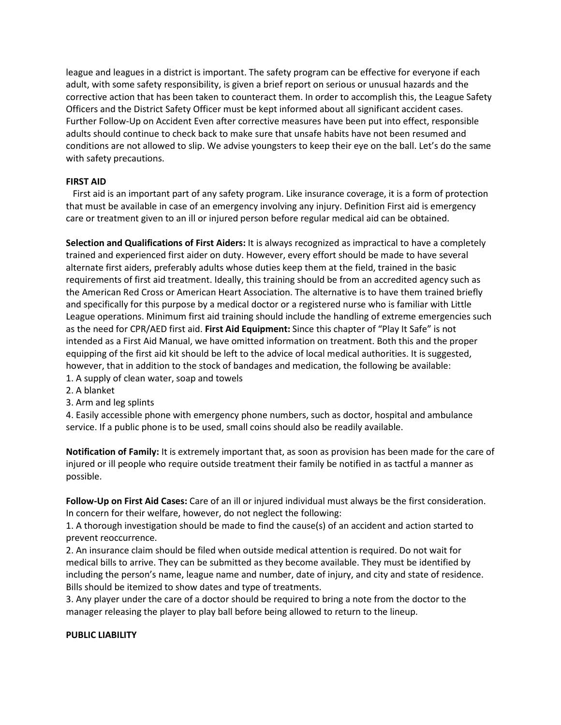league and leagues in a district is important. The safety program can be effective for everyone if each adult, with some safety responsibility, is given a brief report on serious or unusual hazards and the corrective action that has been taken to counteract them. In order to accomplish this, the League Safety Officers and the District Safety Officer must be kept informed about all significant accident cases. Further Follow-Up on Accident Even after corrective measures have been put into effect, responsible adults should continue to check back to make sure that unsafe habits have not been resumed and conditions are not allowed to slip. We advise youngsters to keep their eye on the ball. Let's do the same with safety precautions.

### **FIRST AID**

 First aid is an important part of any safety program. Like insurance coverage, it is a form of protection that must be available in case of an emergency involving any injury. Definition First aid is emergency care or treatment given to an ill or injured person before regular medical aid can be obtained.

**Selection and Qualifications of First Aiders:** It is always recognized as impractical to have a completely trained and experienced first aider on duty. However, every effort should be made to have several alternate first aiders, preferably adults whose duties keep them at the field, trained in the basic requirements of first aid treatment. Ideally, this training should be from an accredited agency such as the American Red Cross or American Heart Association. The alternative is to have them trained briefly and specifically for this purpose by a medical doctor or a registered nurse who is familiar with Little League operations. Minimum first aid training should include the handling of extreme emergencies such as the need for CPR/AED first aid. **First Aid Equipment:** Since this chapter of "Play It Safe" is not intended as a First Aid Manual, we have omitted information on treatment. Both this and the proper equipping of the first aid kit should be left to the advice of local medical authorities. It is suggested, however, that in addition to the stock of bandages and medication, the following be available: 1. A supply of clean water, soap and towels

- 2. A blanket
- 3. Arm and leg splints

4. Easily accessible phone with emergency phone numbers, such as doctor, hospital and ambulance service. If a public phone is to be used, small coins should also be readily available.

**Notification of Family:** It is extremely important that, as soon as provision has been made for the care of injured or ill people who require outside treatment their family be notified in as tactful a manner as possible.

**Follow-Up on First Aid Cases:** Care of an ill or injured individual must always be the first consideration. In concern for their welfare, however, do not neglect the following:

1. A thorough investigation should be made to find the cause(s) of an accident and action started to prevent reoccurrence.

2. An insurance claim should be filed when outside medical attention is required. Do not wait for medical bills to arrive. They can be submitted as they become available. They must be identified by including the person's name, league name and number, date of injury, and city and state of residence. Bills should be itemized to show dates and type of treatments.

3. Any player under the care of a doctor should be required to bring a note from the doctor to the manager releasing the player to play ball before being allowed to return to the lineup.

### **PUBLIC LIABILITY**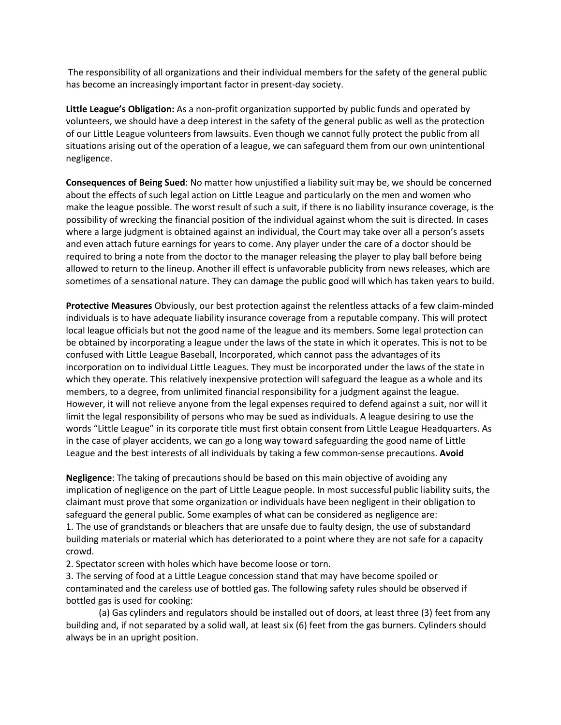The responsibility of all organizations and their individual members for the safety of the general public has become an increasingly important factor in present-day society.

**Little League's Obligation:** As a non-profit organization supported by public funds and operated by volunteers, we should have a deep interest in the safety of the general public as well as the protection of our Little League volunteers from lawsuits. Even though we cannot fully protect the public from all situations arising out of the operation of a league, we can safeguard them from our own unintentional negligence.

**Consequences of Being Sued**: No matter how unjustified a liability suit may be, we should be concerned about the effects of such legal action on Little League and particularly on the men and women who make the league possible. The worst result of such a suit, if there is no liability insurance coverage, is the possibility of wrecking the financial position of the individual against whom the suit is directed. In cases where a large judgment is obtained against an individual, the Court may take over all a person's assets and even attach future earnings for years to come. Any player under the care of a doctor should be required to bring a note from the doctor to the manager releasing the player to play ball before being allowed to return to the lineup. Another ill effect is unfavorable publicity from news releases, which are sometimes of a sensational nature. They can damage the public good will which has taken years to build.

**Protective Measures** Obviously, our best protection against the relentless attacks of a few claim-minded individuals is to have adequate liability insurance coverage from a reputable company. This will protect local league officials but not the good name of the league and its members. Some legal protection can be obtained by incorporating a league under the laws of the state in which it operates. This is not to be confused with Little League Baseball, Incorporated, which cannot pass the advantages of its incorporation on to individual Little Leagues. They must be incorporated under the laws of the state in which they operate. This relatively inexpensive protection will safeguard the league as a whole and its members, to a degree, from unlimited financial responsibility for a judgment against the league. However, it will not relieve anyone from the legal expenses required to defend against a suit, nor will it limit the legal responsibility of persons who may be sued as individuals. A league desiring to use the words "Little League" in its corporate title must first obtain consent from Little League Headquarters. As in the case of player accidents, we can go a long way toward safeguarding the good name of Little League and the best interests of all individuals by taking a few common-sense precautions. **Avoid** 

**Negligence**: The taking of precautions should be based on this main objective of avoiding any implication of negligence on the part of Little League people. In most successful public liability suits, the claimant must prove that some organization or individuals have been negligent in their obligation to safeguard the general public. Some examples of what can be considered as negligence are: 1. The use of grandstands or bleachers that are unsafe due to faulty design, the use of substandard building materials or material which has deteriorated to a point where they are not safe for a capacity crowd.

2. Spectator screen with holes which have become loose or torn.

3. The serving of food at a Little League concession stand that may have become spoiled or contaminated and the careless use of bottled gas. The following safety rules should be observed if bottled gas is used for cooking:

(a) Gas cylinders and regulators should be installed out of doors, at least three (3) feet from any building and, if not separated by a solid wall, at least six (6) feet from the gas burners. Cylinders should always be in an upright position.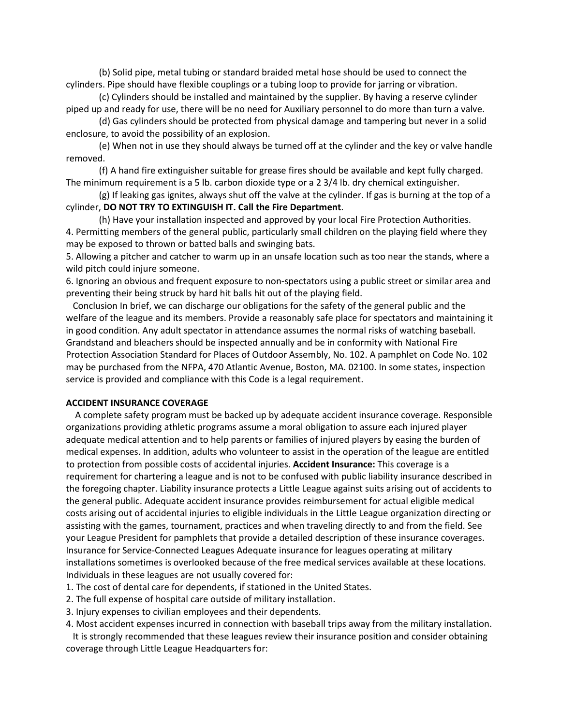(b) Solid pipe, metal tubing or standard braided metal hose should be used to connect the cylinders. Pipe should have flexible couplings or a tubing loop to provide for jarring or vibration.

(c) Cylinders should be installed and maintained by the supplier. By having a reserve cylinder piped up and ready for use, there will be no need for Auxiliary personnel to do more than turn a valve.

(d) Gas cylinders should be protected from physical damage and tampering but never in a solid enclosure, to avoid the possibility of an explosion.

(e) When not in use they should always be turned off at the cylinder and the key or valve handle removed.

(f) A hand fire extinguisher suitable for grease fires should be available and kept fully charged. The minimum requirement is a 5 lb. carbon dioxide type or a 2 3/4 lb. dry chemical extinguisher.

(g) If leaking gas ignites, always shut off the valve at the cylinder. If gas is burning at the top of a cylinder, **DO NOT TRY TO EXTINGUISH IT. Call the Fire Department**.

(h) Have your installation inspected and approved by your local Fire Protection Authorities.

4. Permitting members of the general public, particularly small children on the playing field where they may be exposed to thrown or batted balls and swinging bats.

5. Allowing a pitcher and catcher to warm up in an unsafe location such as too near the stands, where a wild pitch could injure someone.

6. Ignoring an obvious and frequent exposure to non-spectators using a public street or similar area and preventing their being struck by hard hit balls hit out of the playing field.

 Conclusion In brief, we can discharge our obligations for the safety of the general public and the welfare of the league and its members. Provide a reasonably safe place for spectators and maintaining it in good condition. Any adult spectator in attendance assumes the normal risks of watching baseball. Grandstand and bleachers should be inspected annually and be in conformity with National Fire Protection Association Standard for Places of Outdoor Assembly, No. 102. A pamphlet on Code No. 102 may be purchased from the NFPA, 470 Atlantic Avenue, Boston, MA. 02100. In some states, inspection service is provided and compliance with this Code is a legal requirement.

### **ACCIDENT INSURANCE COVERAGE**

 A complete safety program must be backed up by adequate accident insurance coverage. Responsible organizations providing athletic programs assume a moral obligation to assure each injured player adequate medical attention and to help parents or families of injured players by easing the burden of medical expenses. In addition, adults who volunteer to assist in the operation of the league are entitled to protection from possible costs of accidental injuries. **Accident Insurance:** This coverage is a requirement for chartering a league and is not to be confused with public liability insurance described in the foregoing chapter. Liability insurance protects a Little League against suits arising out of accidents to the general public. Adequate accident insurance provides reimbursement for actual eligible medical costs arising out of accidental injuries to eligible individuals in the Little League organization directing or assisting with the games, tournament, practices and when traveling directly to and from the field. See your League President for pamphlets that provide a detailed description of these insurance coverages. Insurance for Service-Connected Leagues Adequate insurance for leagues operating at military installations sometimes is overlooked because of the free medical services available at these locations. Individuals in these leagues are not usually covered for:

- 1. The cost of dental care for dependents, if stationed in the United States.
- 2. The full expense of hospital care outside of military installation.
- 3. Injury expenses to civilian employees and their dependents.
- 4. Most accident expenses incurred in connection with baseball trips away from the military installation.

 It is strongly recommended that these leagues review their insurance position and consider obtaining coverage through Little League Headquarters for: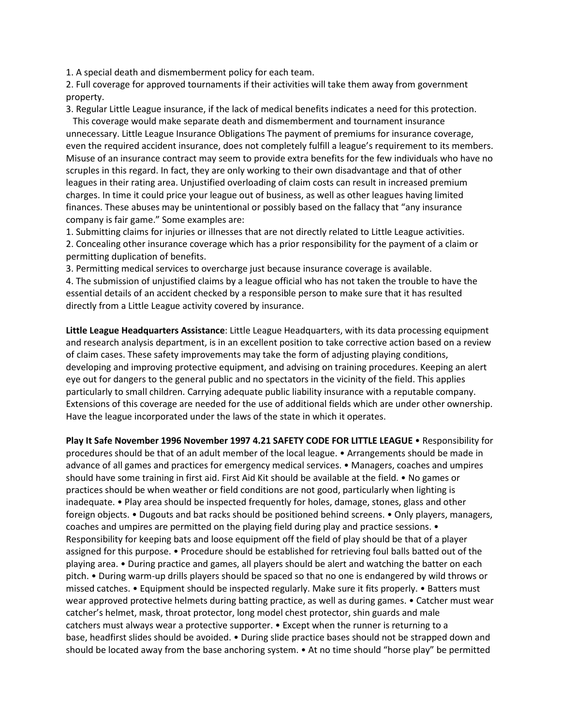1. A special death and dismemberment policy for each team.

2. Full coverage for approved tournaments if their activities will take them away from government property.

3. Regular Little League insurance, if the lack of medical benefits indicates a need for this protection.

 This coverage would make separate death and dismemberment and tournament insurance unnecessary. Little League Insurance Obligations The payment of premiums for insurance coverage, even the required accident insurance, does not completely fulfill a league's requirement to its members. Misuse of an insurance contract may seem to provide extra benefits for the few individuals who have no scruples in this regard. In fact, they are only working to their own disadvantage and that of other leagues in their rating area. Unjustified overloading of claim costs can result in increased premium charges. In time it could price your league out of business, as well as other leagues having limited finances. These abuses may be unintentional or possibly based on the fallacy that "any insurance company is fair game." Some examples are:

1. Submitting claims for injuries or illnesses that are not directly related to Little League activities. 2. Concealing other insurance coverage which has a prior responsibility for the payment of a claim or permitting duplication of benefits.

3. Permitting medical services to overcharge just because insurance coverage is available.

4. The submission of unjustified claims by a league official who has not taken the trouble to have the essential details of an accident checked by a responsible person to make sure that it has resulted directly from a Little League activity covered by insurance.

**Little League Headquarters Assistance**: Little League Headquarters, with its data processing equipment and research analysis department, is in an excellent position to take corrective action based on a review of claim cases. These safety improvements may take the form of adjusting playing conditions, developing and improving protective equipment, and advising on training procedures. Keeping an alert eye out for dangers to the general public and no spectators in the vicinity of the field. This applies particularly to small children. Carrying adequate public liability insurance with a reputable company. Extensions of this coverage are needed for the use of additional fields which are under other ownership. Have the league incorporated under the laws of the state in which it operates.

**Play It Safe November 1996 November 1997 4.21 SAFETY CODE FOR LITTLE LEAGUE** • Responsibility for procedures should be that of an adult member of the local league. • Arrangements should be made in advance of all games and practices for emergency medical services. • Managers, coaches and umpires should have some training in first aid. First Aid Kit should be available at the field. • No games or practices should be when weather or field conditions are not good, particularly when lighting is inadequate. • Play area should be inspected frequently for holes, damage, stones, glass and other foreign objects. • Dugouts and bat racks should be positioned behind screens. • Only players, managers, coaches and umpires are permitted on the playing field during play and practice sessions. • Responsibility for keeping bats and loose equipment off the field of play should be that of a player assigned for this purpose. • Procedure should be established for retrieving foul balls batted out of the playing area. • During practice and games, all players should be alert and watching the batter on each pitch. • During warm-up drills players should be spaced so that no one is endangered by wild throws or missed catches. • Equipment should be inspected regularly. Make sure it fits properly. • Batters must wear approved protective helmets during batting practice, as well as during games. • Catcher must wear catcher's helmet, mask, throat protector, long model chest protector, shin guards and male catchers must always wear a protective supporter. • Except when the runner is returning to a base, headfirst slides should be avoided. • During slide practice bases should not be strapped down and should be located away from the base anchoring system. • At no time should "horse play" be permitted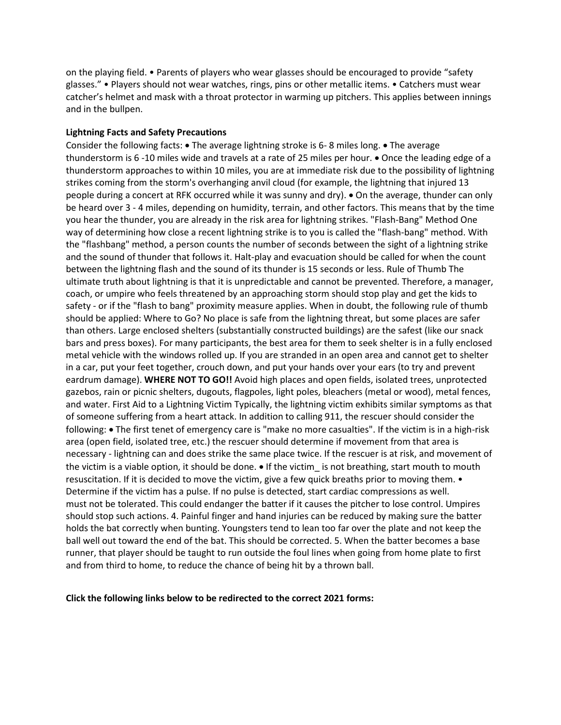on the playing field. • Parents of players who wear glasses should be encouraged to provide "safety glasses." • Players should not wear watches, rings, pins or other metallic items. • Catchers must wear catcher's helmet and mask with a throat protector in warming up pitchers. This applies between innings and in the bullpen.

### **Lightning Facts and Safety Precautions**

Consider the following facts: • The average lightning stroke is 6- 8 miles long. • The average thunderstorm is 6 -10 miles wide and travels at a rate of 25 miles per hour. • Once the leading edge of a thunderstorm approaches to within 10 miles, you are at immediate risk due to the possibility of lightning strikes coming from the storm's overhanging anvil cloud (for example, the lightning that injured 13 people during a concert at RFK occurred while it was sunny and dry). • On the average, thunder can only be heard over 3 - 4 miles, depending on humidity, terrain, and other factors. This means that by the time you hear the thunder, you are already in the risk area for lightning strikes. "Flash-Bang" Method One way of determining how close a recent lightning strike is to you is called the "flash-bang" method. With the "flashbang" method, a person counts the number of seconds between the sight of a lightning strike and the sound of thunder that follows it. Halt-play and evacuation should be called for when the count between the lightning flash and the sound of its thunder is 15 seconds or less. Rule of Thumb The ultimate truth about lightning is that it is unpredictable and cannot be prevented. Therefore, a manager, coach, or umpire who feels threatened by an approaching storm should stop play and get the kids to safety - or if the "flash to bang" proximity measure applies. When in doubt, the following rule of thumb should be applied: Where to Go? No place is safe from the lightning threat, but some places are safer than others. Large enclosed shelters (substantially constructed buildings) are the safest (like our snack bars and press boxes). For many participants, the best area for them to seek shelter is in a fully enclosed metal vehicle with the windows rolled up. If you are stranded in an open area and cannot get to shelter in a car, put your feet together, crouch down, and put your hands over your ears (to try and prevent eardrum damage). **WHERE NOT TO GO!!** Avoid high places and open fields, isolated trees, unprotected gazebos, rain or picnic shelters, dugouts, flagpoles, light poles, bleachers (metal or wood), metal fences, and water. First Aid to a Lightning Victim Typically, the lightning victim exhibits similar symptoms as that of someone suffering from a heart attack. In addition to calling 911, the rescuer should consider the following: • The first tenet of emergency care is "make no more casualties". If the victim is in a high-risk area (open field, isolated tree, etc.) the rescuer should determine if movement from that area is necessary - lightning can and does strike the same place twice. If the rescuer is at risk, and movement of the victim is a viable option, it should be done. • If the victim\_ is not breathing, start mouth to mouth resuscitation. If it is decided to move the victim, give a few quick breaths prior to moving them. • Determine if the victim has a pulse. If no pulse is detected, start cardiac compressions as well. must not be tolerated. This could endanger the batter if it causes the pitcher to lose control. Umpires should stop such actions. 4. Painful finger and hand injuries can be reduced by making sure the batter holds the bat correctly when bunting. Youngsters tend to lean too far over the plate and not keep the ball well out toward the end of the bat. This should be corrected. 5. When the batter becomes a base runner, that player should be taught to run outside the foul lines when going from home plate to first and from third to home, to reduce the chance of being hit by a thrown ball.

**Click the following links below to be redirected to the correct 2021 forms:**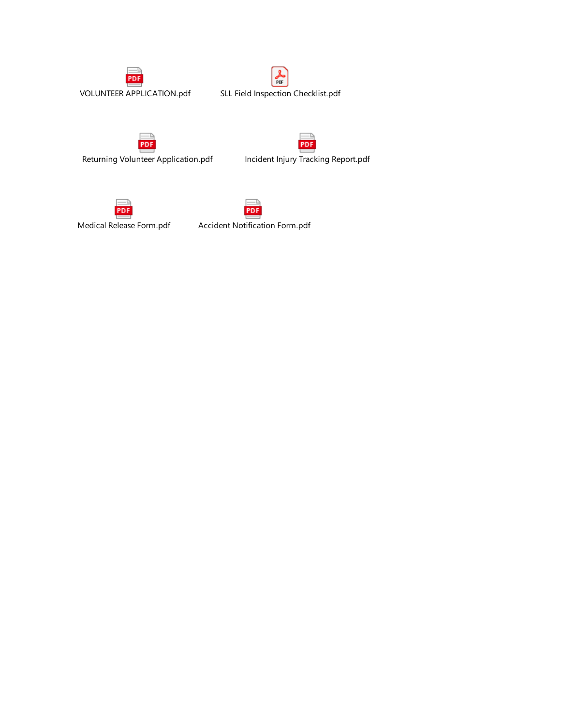





Returning Volunteer Application.pdf Incident Injury Tracking Report.pdf







Medical Release Form.pdf Accident Notification Form.pdf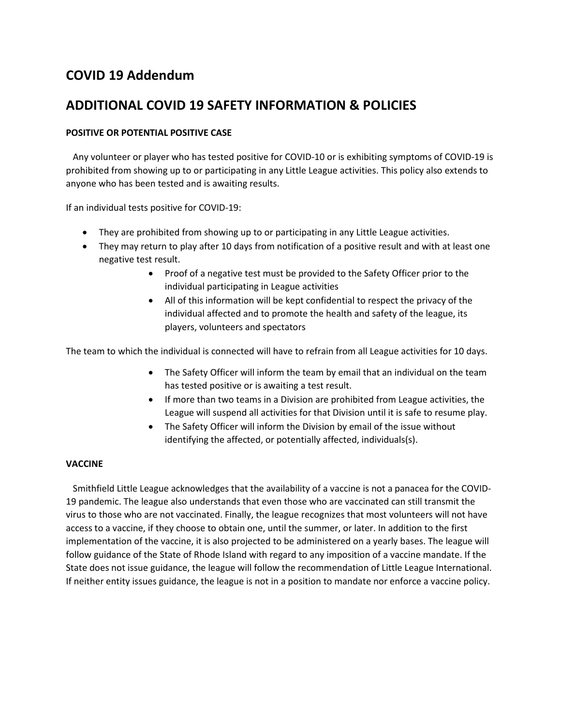# **COVID 19 Addendum**

# **ADDITIONAL COVID 19 SAFETY INFORMATION & POLICIES**

## **POSITIVE OR POTENTIAL POSITIVE CASE**

 Any volunteer or player who has tested positive for COVID-10 or is exhibiting symptoms of COVID-19 is prohibited from showing up to or participating in any Little League activities. This policy also extends to anyone who has been tested and is awaiting results.

If an individual tests positive for COVID-19:

- They are prohibited from showing up to or participating in any Little League activities.
- They may return to play after 10 days from notification of a positive result and with at least one negative test result.
	- Proof of a negative test must be provided to the Safety Officer prior to the individual participating in League activities
	- All of this information will be kept confidential to respect the privacy of the individual affected and to promote the health and safety of the league, its players, volunteers and spectators

The team to which the individual is connected will have to refrain from all League activities for 10 days.

- The Safety Officer will inform the team by email that an individual on the team has tested positive or is awaiting a test result.
- If more than two teams in a Division are prohibited from League activities, the League will suspend all activities for that Division until it is safe to resume play.
- The Safety Officer will inform the Division by email of the issue without identifying the affected, or potentially affected, individuals(s).

### **VACCINE**

 Smithfield Little League acknowledges that the availability of a vaccine is not a panacea for the COVID-19 pandemic. The league also understands that even those who are vaccinated can still transmit the virus to those who are not vaccinated. Finally, the league recognizes that most volunteers will not have access to a vaccine, if they choose to obtain one, until the summer, or later. In addition to the first implementation of the vaccine, it is also projected to be administered on a yearly bases. The league will follow guidance of the State of Rhode Island with regard to any imposition of a vaccine mandate. If the State does not issue guidance, the league will follow the recommendation of Little League International. If neither entity issues guidance, the league is not in a position to mandate nor enforce a vaccine policy.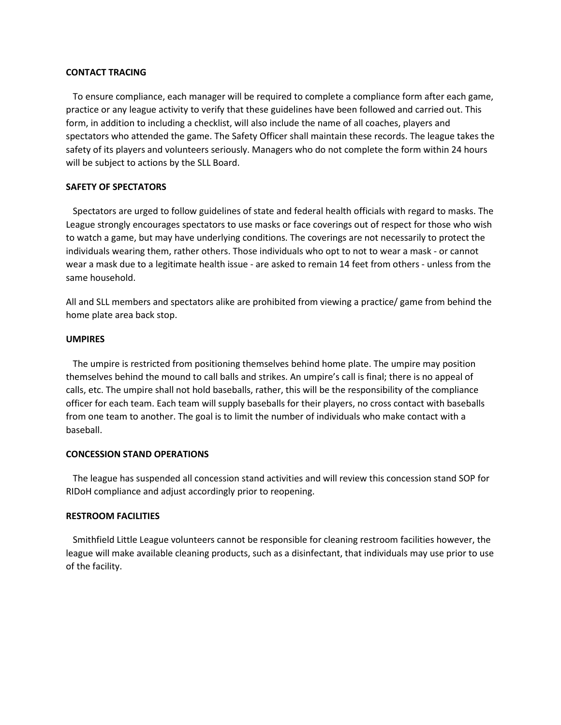### **CONTACT TRACING**

 To ensure compliance, each manager will be required to complete a compliance form after each game, practice or any league activity to verify that these guidelines have been followed and carried out. This form, in addition to including a checklist, will also include the name of all coaches, players and spectators who attended the game. The Safety Officer shall maintain these records. The league takes the safety of its players and volunteers seriously. Managers who do not complete the form within 24 hours will be subject to actions by the SLL Board.

### **SAFETY OF SPECTATORS**

 Spectators are urged to follow guidelines of state and federal health officials with regard to masks. The League strongly encourages spectators to use masks or face coverings out of respect for those who wish to watch a game, but may have underlying conditions. The coverings are not necessarily to protect the individuals wearing them, rather others. Those individuals who opt to not to wear a mask - or cannot wear a mask due to a legitimate health issue - are asked to remain 14 feet from others - unless from the same household.

All and SLL members and spectators alike are prohibited from viewing a practice/ game from behind the home plate area back stop.

### **UMPIRES**

 The umpire is restricted from positioning themselves behind home plate. The umpire may position themselves behind the mound to call balls and strikes. An umpire's call is final; there is no appeal of calls, etc. The umpire shall not hold baseballs, rather, this will be the responsibility of the compliance officer for each team. Each team will supply baseballs for their players, no cross contact with baseballs from one team to another. The goal is to limit the number of individuals who make contact with a baseball.

#### **CONCESSION STAND OPERATIONS**

 The league has suspended all concession stand activities and will review this concession stand SOP for RIDoH compliance and adjust accordingly prior to reopening.

### **RESTROOM FACILITIES**

 Smithfield Little League volunteers cannot be responsible for cleaning restroom facilities however, the league will make available cleaning products, such as a disinfectant, that individuals may use prior to use of the facility.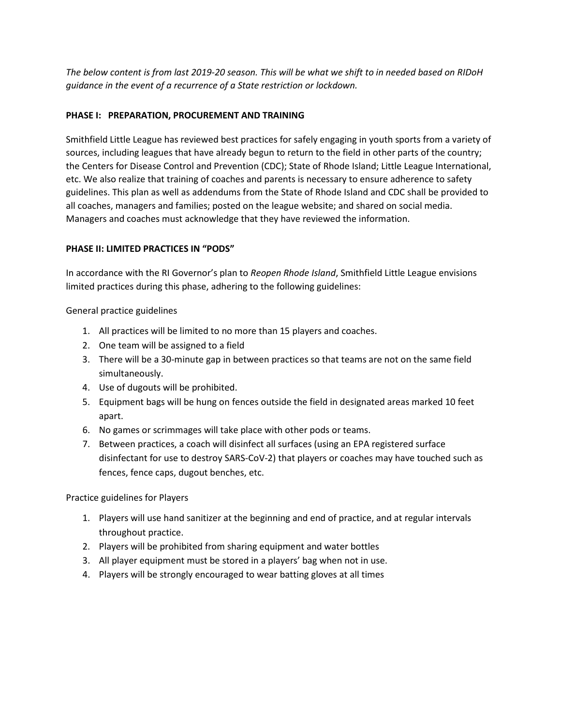*The below content is from last 2019-20 season. This will be what we shift to in needed based on RIDoH guidance in the event of a recurrence of a State restriction or lockdown.* 

## **PHASE I: PREPARATION, PROCUREMENT AND TRAINING**

Smithfield Little League has reviewed best practices for safely engaging in youth sports from a variety of sources, including leagues that have already begun to return to the field in other parts of the country; the Centers for Disease Control and Prevention (CDC); State of Rhode Island; Little League International, etc. We also realize that training of coaches and parents is necessary to ensure adherence to safety guidelines. This plan as well as addendums from the State of Rhode Island and CDC shall be provided to all coaches, managers and families; posted on the league website; and shared on social media. Managers and coaches must acknowledge that they have reviewed the information.

## **PHASE II: LIMITED PRACTICES IN "PODS"**

In accordance with the RI Governor's plan to *Reopen Rhode Island*, Smithfield Little League envisions limited practices during this phase, adhering to the following guidelines:

General practice guidelines

- 1. All practices will be limited to no more than 15 players and coaches.
- 2. One team will be assigned to a field
- 3. There will be a 30-minute gap in between practices so that teams are not on the same field simultaneously.
- 4. Use of dugouts will be prohibited.
- 5. Equipment bags will be hung on fences outside the field in designated areas marked 10 feet apart.
- 6. No games or scrimmages will take place with other pods or teams.
- 7. Between practices, a coach will disinfect all surfaces (using an EPA registered surface disinfectant for use to destroy SARS-CoV-2) that players or coaches may have touched such as fences, fence caps, dugout benches, etc.

Practice guidelines for Players

- 1. Players will use hand sanitizer at the beginning and end of practice, and at regular intervals throughout practice.
- 2. Players will be prohibited from sharing equipment and water bottles
- 3. All player equipment must be stored in a players' bag when not in use.
- 4. Players will be strongly encouraged to wear batting gloves at all times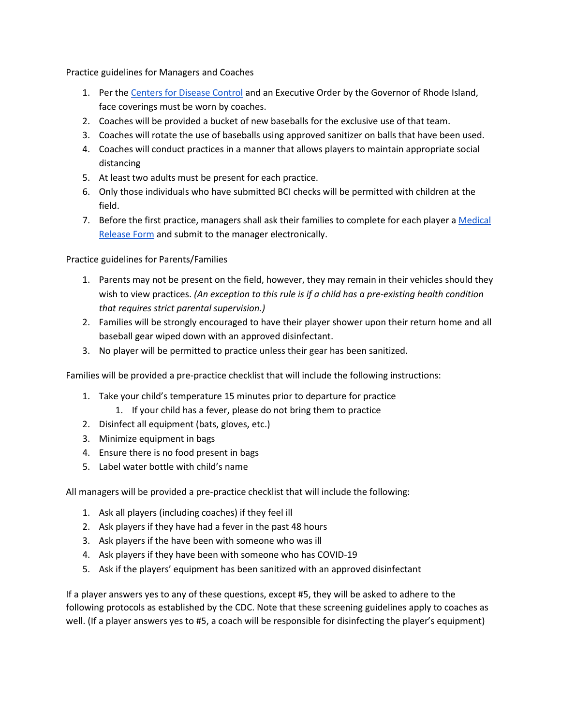Practice guidelines for Managers and Coaches

- 1. P[e](https://www.cdc.gov/coronavirus/2019-ncov/community/schools-childcare/youth-sports.html)r the [Centers for Disease Control](https://www.cdc.gov/coronavirus/2019-ncov/community/schools-childcare/youth-sports.html) and an Executive Order by the Governor of Rhode Island, face coverings must be worn by coaches.
- 2. Coaches will be provided a bucket of new baseballs for the exclusive use of that team.
- 3. Coaches will rotate the use of baseballs using approved sanitizer on balls that have been used.
- 4. Coaches will conduct practices in a manner that allows players to maintain appropriate social distancing
- 5. At least two adults must be present for each practice.
- 6. Only those individuals who have submitted BCI checks will be permitted with children at the field.
- 7. Before the first practice, managers shall ask their families to complete for each player a [Medical](https://www.littleleague.org/downloads/medical-release-form/)  [Release Form](https://www.littleleague.org/downloads/medical-release-form/) and submit to the manager electronically.

Practice guidelines for Parents/Families

- 1. Parents may not be present on the field, however, they may remain in their vehicles should they wish to view practices. *(An exception to this rule is if a child has a pre-existing health condition that requires strict parental supervision.)*
- 2. Families will be strongly encouraged to have their player shower upon their return home and all baseball gear wiped down with an approved disinfectant.
- 3. No player will be permitted to practice unless their gear has been sanitized.

Families will be provided a pre-practice checklist that will include the following instructions:

- 1. Take your child's temperature 15 minutes prior to departure for practice
	- 1. If your child has a fever, please do not bring them to practice
- 2. Disinfect all equipment (bats, gloves, etc.)
- 3. Minimize equipment in bags
- 4. Ensure there is no food present in bags
- 5. Label water bottle with child's name

All managers will be provided a pre-practice checklist that will include the following:

- 1. Ask all players (including coaches) if they feel ill
- 2. Ask players if they have had a fever in the past 48 hours
- 3. Ask players if the have been with someone who was ill
- 4. Ask players if they have been with someone who has COVID-19
- 5. Ask if the players' equipment has been sanitized with an approved disinfectant

If a player answers yes to any of these questions, except #5, they will be asked to adhere to the following protocols as established by the CDC. Note that these screening guidelines apply to coaches as well. (If a player answers yes to #5, a coach will be responsible for disinfecting the player's equipment)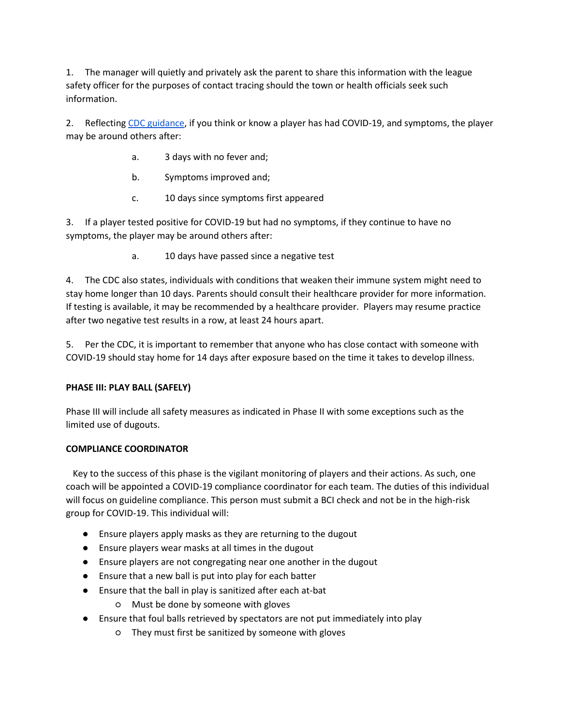1. The manager will quietly and privately ask the parent to share this information with the league safety officer for the purposes of contact tracing should the town or health officials seek such information.

2. Reflectin[g](https://www.cdc.gov/coronavirus/2019-ncov/if-you-are-sick/end-home-isolation.html?CDC_AA_refVal=https%3A%2F%2Fwww.cdc.gov%2Fcoronavirus%2F2019-ncov%2Fprevent-getting-sick%2Fwhen-its-safe.html) [CDC guidance,](https://www.cdc.gov/coronavirus/2019-ncov/if-you-are-sick/end-home-isolation.html?CDC_AA_refVal=https%3A%2F%2Fwww.cdc.gov%2Fcoronavirus%2F2019-ncov%2Fprevent-getting-sick%2Fwhen-its-safe.html) if you think or know a player has had COVID-19, and symptoms, the player may be around others after:

- a. 3 days with no fever and;
- b. Symptoms improved and;
- c. 10 days since symptoms first appeared

3. If a player tested positive for COVID-19 but had no symptoms, if they continue to have no symptoms, the player may be around others after:

a. 10 days have passed since a negative test

4. The CDC also states, individuals with conditions that weaken their immune system might need to stay home longer than 10 days. Parents should consult their healthcare provider for more information. If testing is available, it may be recommended by a healthcare provider. Players may resume practice after two negative test results in a row, at least 24 hours apart.

5. Per the CDC, it is important to remember that anyone who has close contact with someone with COVID-19 should stay home for 14 days after exposure based on the time it takes to develop illness.

## **PHASE III: PLAY BALL (SAFELY)**

Phase III will include all safety measures as indicated in Phase II with some exceptions such as the limited use of dugouts.

## **COMPLIANCE COORDINATOR**

 Key to the success of this phase is the vigilant monitoring of players and their actions. As such, one coach will be appointed a COVID-19 compliance coordinator for each team. The duties of this individual will focus on guideline compliance. This person must submit a BCI check and not be in the high-risk group for COVID-19. This individual will:

- Ensure players apply masks as they are returning to the dugout
- Ensure players wear masks at all times in the dugout
- Ensure players are not congregating near one another in the dugout
- Ensure that a new ball is put into play for each batter
- Ensure that the ball in play is sanitized after each at-bat
	- Must be done by someone with gloves
- Ensure that foul balls retrieved by spectators are not put immediately into play
	- They must first be sanitized by someone with gloves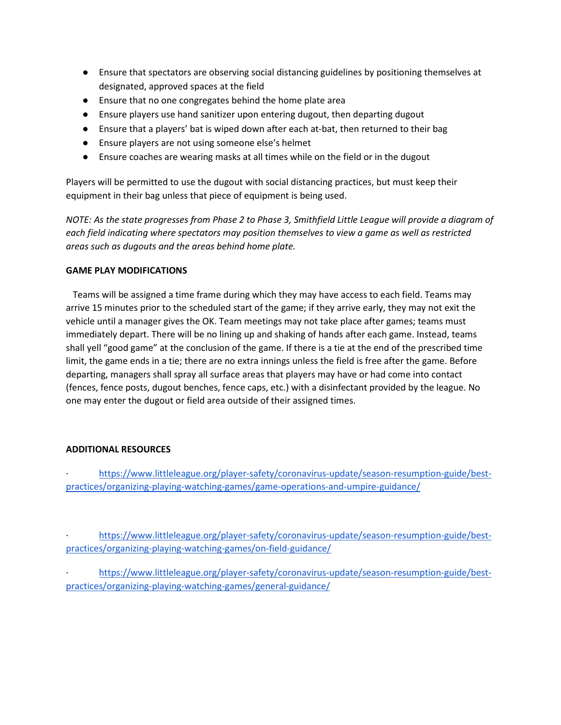- Ensure that spectators are observing social distancing guidelines by positioning themselves at designated, approved spaces at the field
- Ensure that no one congregates behind the home plate area
- Ensure players use hand sanitizer upon entering dugout, then departing dugout
- Ensure that a players' bat is wiped down after each at-bat, then returned to their bag
- Ensure players are not using someone else's helmet
- Ensure coaches are wearing masks at all times while on the field or in the dugout

Players will be permitted to use the dugout with social distancing practices, but must keep their equipment in their bag unless that piece of equipment is being used.

*NOTE: As the state progresses from Phase 2 to Phase 3, Smithfield Little League will provide a diagram of each field indicating where spectators may position themselves to view a game as well as restricted areas such as dugouts and the areas behind home plate.*

## **GAME PLAY MODIFICATIONS**

 Teams will be assigned a time frame during which they may have access to each field. Teams may arrive 15 minutes prior to the scheduled start of the game; if they arrive early, they may not exit the vehicle until a manager gives the OK. Team meetings may not take place after games; teams must immediately depart. There will be no lining up and shaking of hands after each game. Instead, teams shall yell "good game" at the conclusion of the game. If there is a tie at the end of the prescribed time limit, the game ends in a tie; there are no extra innings unless the field is free after the game. Before departing, managers shall spray all surface areas that players may have or had come into contact (fences, fence posts, dugout benches, fence caps, etc.) with a disinfectant provided by the league. No one may enter the dugout or field area outside of their assigned times.

### **ADDITIONAL RESOURCES**

· [https://www.littleleague.org/player-safety/coronavirus-update/season-resumption-guide/best](https://www.littleleague.org/player-safety/coronavirus-update/season-resumption-guide/best-practices/organizing-playing-watching-games/game-operations-and-umpire-guidance/)[practices/organizing-playing-watching-games/game-operations-and-umpire-guidance/](https://www.littleleague.org/player-safety/coronavirus-update/season-resumption-guide/best-practices/organizing-playing-watching-games/game-operations-and-umpire-guidance/)

· [https://www.littleleague.org/player-safety/coronavirus-update/season-resumption-guide/best](https://www.littleleague.org/player-safety/coronavirus-update/season-resumption-guide/best-practices/organizing-playing-watching-games/on-field-guidance/)[practices/organizing-playing-watching-games/on-field-guidance/](https://www.littleleague.org/player-safety/coronavirus-update/season-resumption-guide/best-practices/organizing-playing-watching-games/on-field-guidance/) 

[https://www.littleleague.org/player-safety/coronavirus-update/season-resumption-guide/best](https://www.littleleague.org/player-safety/coronavirus-update/season-resumption-guide/best-practices/organizing-playing-watching-games/general-guidance/)[practices/organizing-playing-watching-games/general-guidance/](https://www.littleleague.org/player-safety/coronavirus-update/season-resumption-guide/best-practices/organizing-playing-watching-games/general-guidance/)